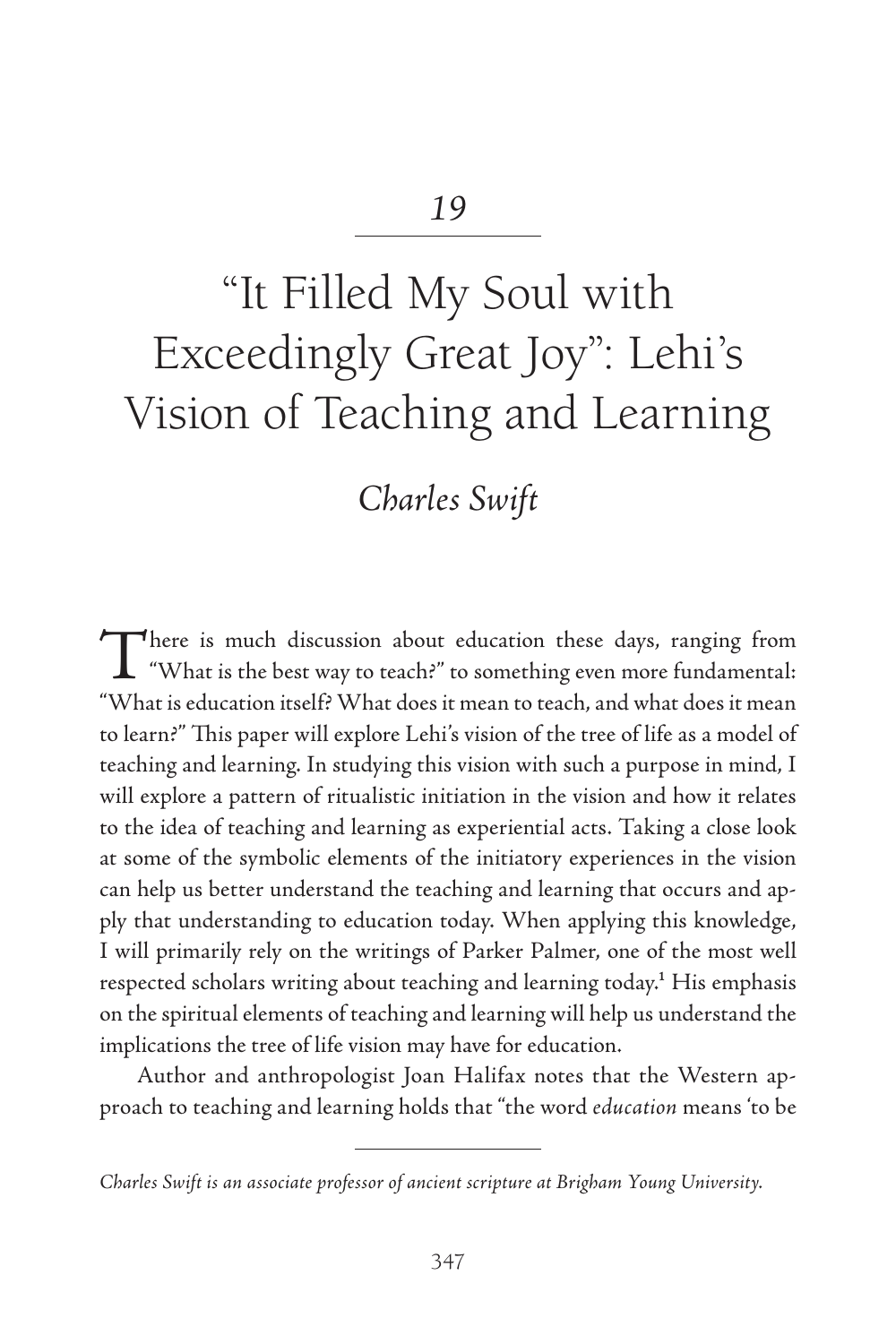# "It Filled My Soul with Exceedingly Great Joy": Lehi's Vision of Teaching and Learning

# *Charles Swift*

There is much discussion about education these days, ranging from "What is the best way to teach?" to something even more fundamental: "What is education itself? What does it mean to teach, and what does it mean to learn?" This paper will explore Lehi's vision of the tree of life as a model of teaching and learning. In studying this vision with such a purpose in mind, I will explore a pattern of ritualistic initiation in the vision and how it relates to the idea of teaching and learning as experiential acts. Taking a close look at some of the symbolic elements of the initiatory experiences in the vision can help us better understand the teaching and learning that occurs and apply that understanding to education today. When applying this knowledge, I will primarily rely on the writings of Parker Palmer, one of the most well respected scholars writing about teaching and learning today.<sup>1</sup> His emphasis on the spiritual elements of teaching and learning will help us understand the implications the tree of life vision may have for education.

Author and anthropologist Joan Halifax notes that the Western approach to teaching and learning holds that "the word *education* means 'to be

*Charles Swift is an associate professor of ancient scripture at Brigham Young University.*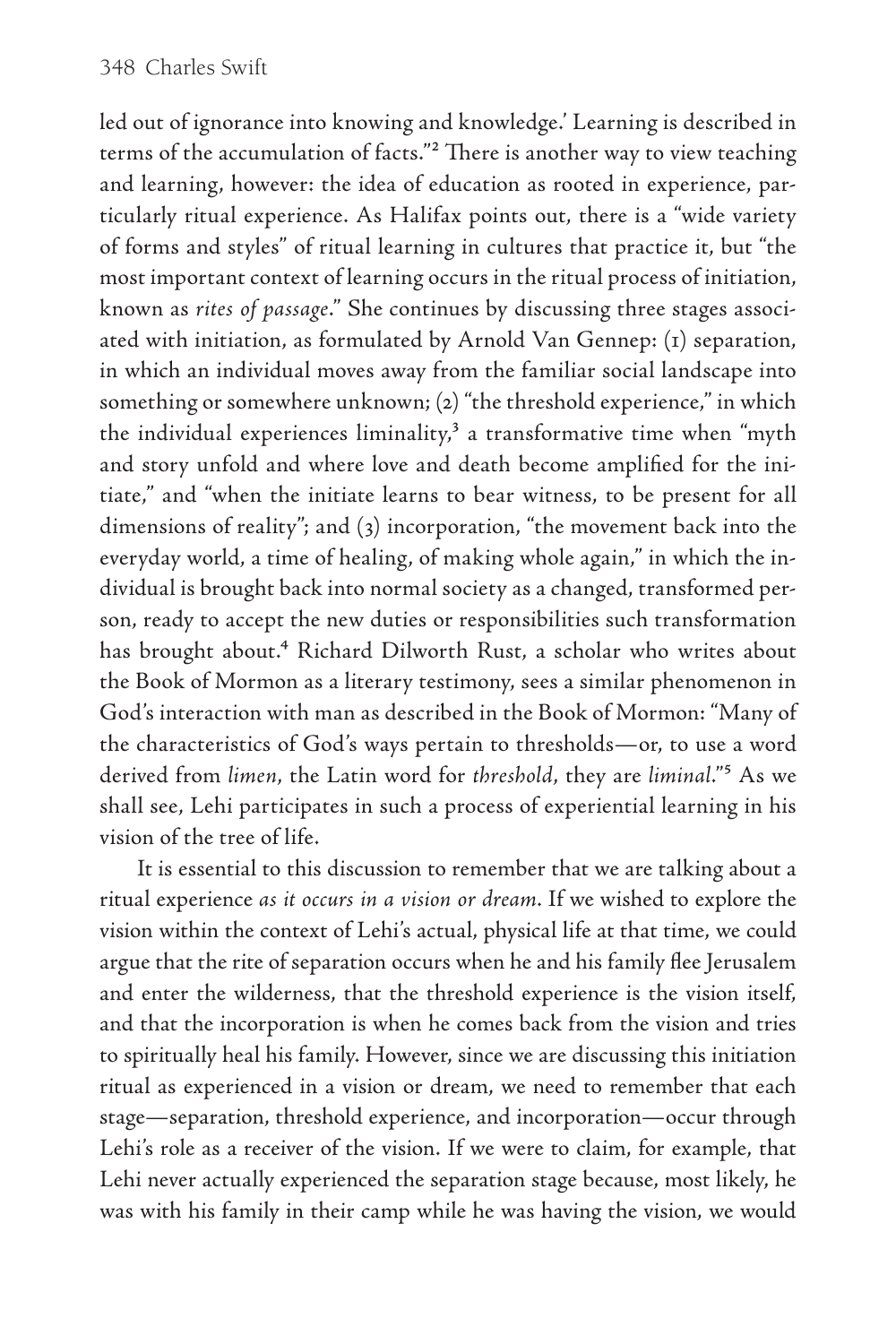led out of ignorance into knowing and knowledge.' Learning is described in terms of the accumulation of facts."2 There is another way to view teaching and learning, however: the idea of education as rooted in experience, particularly ritual experience. As Halifax points out, there is a "wide variety of forms and styles" of ritual learning in cultures that practice it, but "the most important context of learning occurs in the ritual process of initiation, known as *rites of passage*." She continues by discussing three stages associated with initiation, as formulated by Arnold Van Gennep: (1) separation, in which an individual moves away from the familiar social landscape into something or somewhere unknown; (2) "the threshold experience," in which the individual experiences liminality, $3$  a transformative time when "myth and story unfold and where love and death become amplified for the initiate," and "when the initiate learns to bear witness, to be present for all dimensions of reality"; and (3) incorporation, "the movement back into the everyday world, a time of healing, of making whole again," in which the individual is brought back into normal society as a changed, transformed person, ready to accept the new duties or responsibilities such transformation has brought about.<sup>4</sup> Richard Dilworth Rust, a scholar who writes about the Book of Mormon as a literary testimony, sees a similar phenomenon in God's interaction with man as described in the Book of Mormon: "Many of the characteristics of God's ways pertain to thresholds—or, to use a word derived from *limen*, the Latin word for *threshold*, they are *liminal*."5 As we shall see, Lehi participates in such a process of experiential learning in his vision of the tree of life.

It is essential to this discussion to remember that we are talking about a ritual experience *as it occurs in a vision or dream*. If we wished to explore the vision within the context of Lehi's actual, physical life at that time, we could argue that the rite of separation occurs when he and his family flee Jerusalem and enter the wilderness, that the threshold experience is the vision itself, and that the incorporation is when he comes back from the vision and tries to spiritually heal his family. However, since we are discussing this initiation ritual as experienced in a vision or dream, we need to remember that each stage—separation, threshold experience, and incorporation—occur through Lehi's role as a receiver of the vision. If we were to claim, for example, that Lehi never actually experienced the separation stage because, most likely, he was with his family in their camp while he was having the vision, we would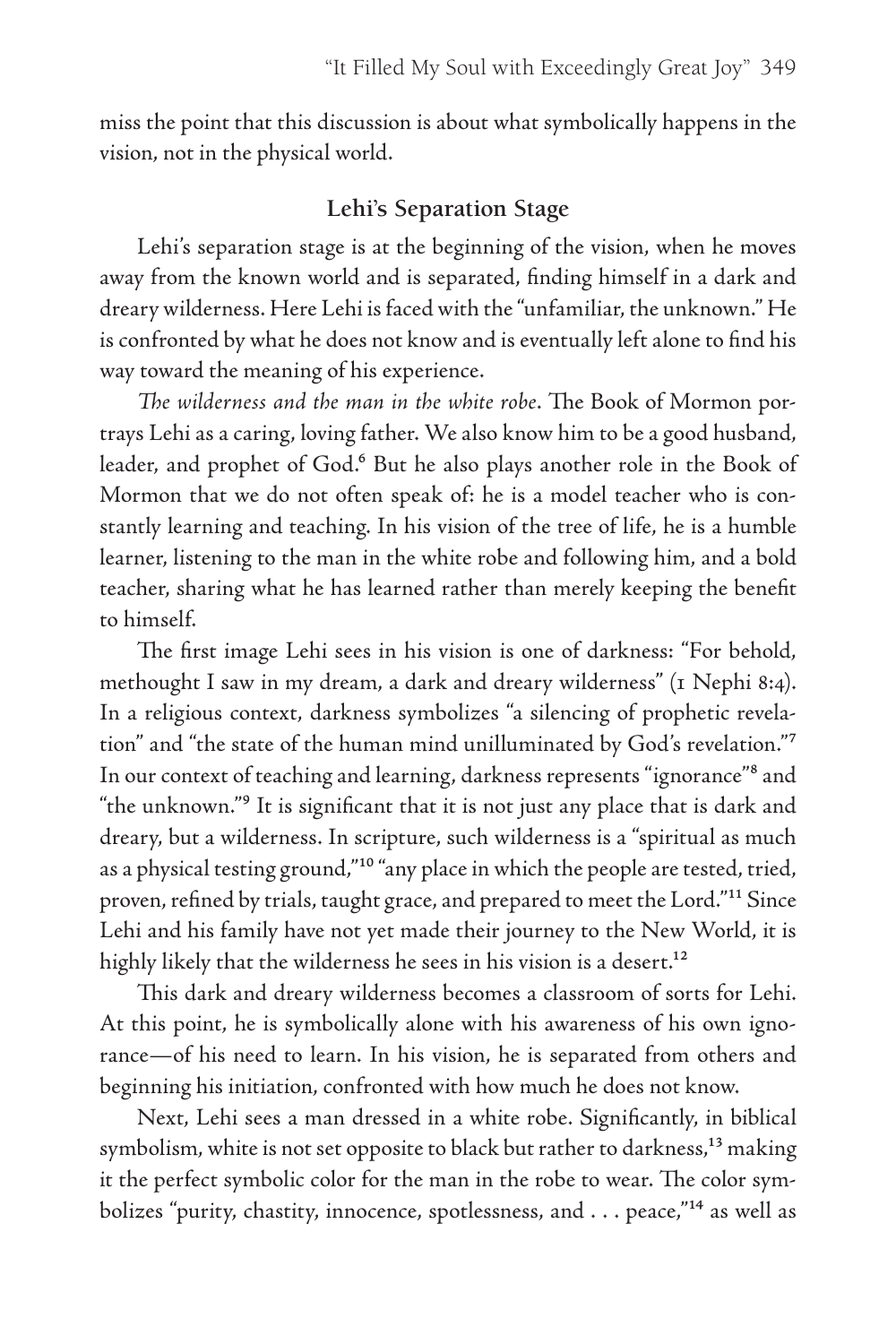miss the point that this discussion is about what symbolically happens in the vision, not in the physical world.

#### **Lehi's Separation Stage**

Lehi's separation stage is at the beginning of the vision, when he moves away from the known world and is separated, finding himself in a dark and dreary wilderness. Here Lehi is faced with the "unfamiliar, the unknown." He is confronted by what he does not know and is eventually left alone to find his way toward the meaning of his experience.

*The wilderness and the man in the white robe*. The Book of Mormon portrays Lehi as a caring, loving father. We also know him to be a good husband, leader, and prophet of God.<sup>6</sup> But he also plays another role in the Book of Mormon that we do not often speak of: he is a model teacher who is constantly learning and teaching. In his vision of the tree of life, he is a humble learner, listening to the man in the white robe and following him, and a bold teacher, sharing what he has learned rather than merely keeping the benefit to himself.

The first image Lehi sees in his vision is one of darkness: "For behold, methought I saw in my dream, a dark and dreary wilderness" (1 Nephi 8:4). In a religious context, darkness symbolizes "a silencing of prophetic revelation" and "the state of the human mind unilluminated by God's revelation."7 In our context of teaching and learning, darkness represents "ignorance"8 and "the unknown."9 It is significant that it is not just any place that is dark and dreary, but a wilderness. In scripture, such wilderness is a "spiritual as much as a physical testing ground,"10 "any place in which the people are tested, tried, proven, refined by trials, taught grace, and prepared to meet the Lord."11 Since Lehi and his family have not yet made their journey to the New World, it is highly likely that the wilderness he sees in his vision is a desert.<sup>12</sup>

This dark and dreary wilderness becomes a classroom of sorts for Lehi. At this point, he is symbolically alone with his awareness of his own ignorance—of his need to learn. In his vision, he is separated from others and beginning his initiation, confronted with how much he does not know.

Next, Lehi sees a man dressed in a white robe. Significantly, in biblical symbolism, white is not set opposite to black but rather to darkness,<sup>13</sup> making it the perfect symbolic color for the man in the robe to wear. The color symbolizes "purity, chastity, innocence, spotlessness, and ... peace,"14 as well as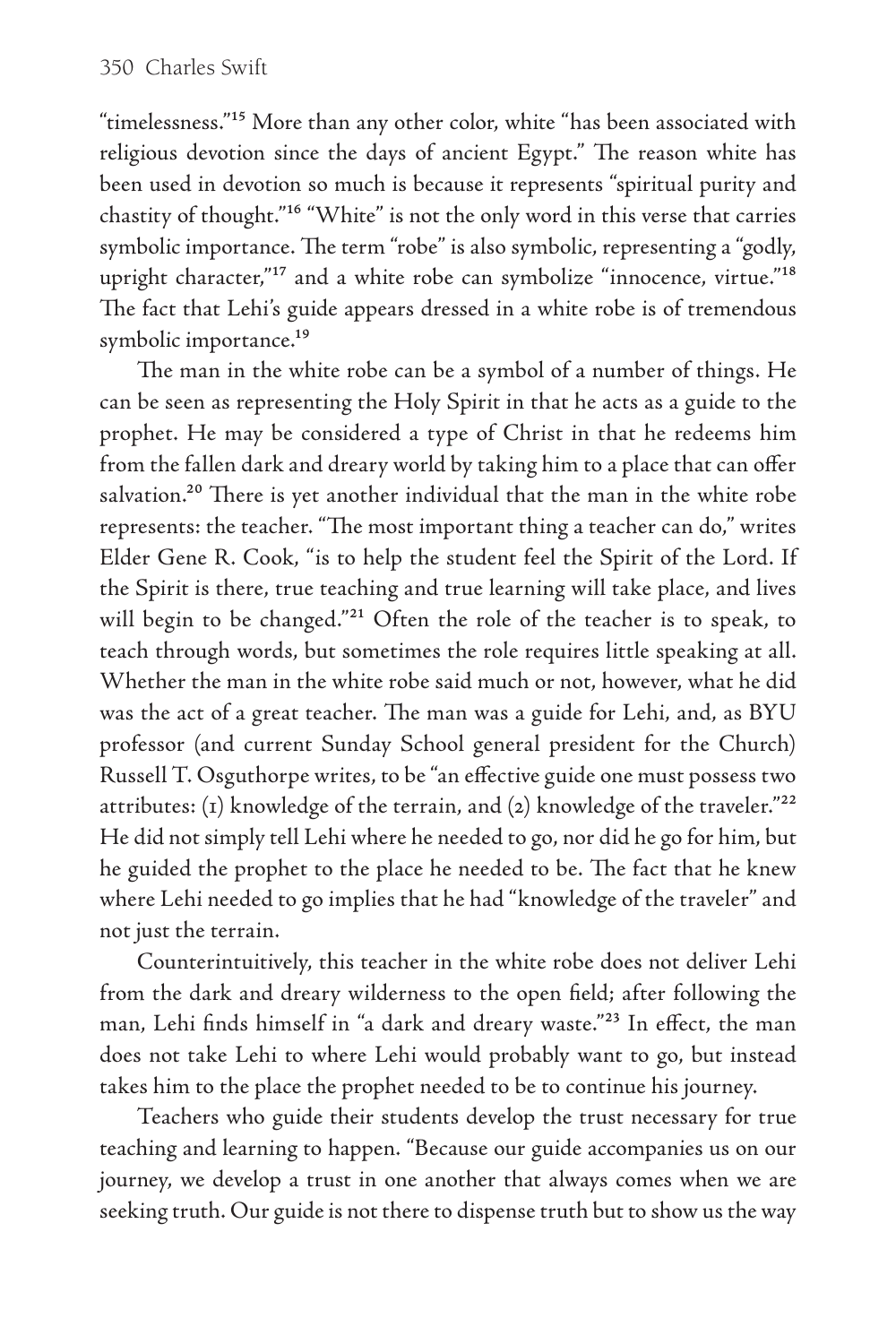"timelessness."15 More than any other color, white "has been associated with religious devotion since the days of ancient Egypt." The reason white has been used in devotion so much is because it represents "spiritual purity and chastity of thought."16 "White" is not the only word in this verse that carries symbolic importance. The term "robe" is also symbolic, representing a "godly, upright character,"<sup>17</sup> and a white robe can symbolize "innocence, virtue."<sup>18</sup> The fact that Lehi's guide appears dressed in a white robe is of tremendous symbolic importance.<sup>19</sup>

The man in the white robe can be a symbol of a number of things. He can be seen as representing the Holy Spirit in that he acts as a guide to the prophet. He may be considered a type of Christ in that he redeems him from the fallen dark and dreary world by taking him to a place that can offer salvation.<sup>20</sup> There is yet another individual that the man in the white robe represents: the teacher. "The most important thing a teacher can do," writes Elder Gene R. Cook, "is to help the student feel the Spirit of the Lord. If the Spirit is there, true teaching and true learning will take place, and lives will begin to be changed."<sup>21</sup> Often the role of the teacher is to speak, to teach through words, but sometimes the role requires little speaking at all. Whether the man in the white robe said much or not, however, what he did was the act of a great teacher. The man was a guide for Lehi, and, as BYU professor (and current Sunday School general president for the Church) Russell T. Osguthorpe writes, to be "an effective guide one must possess two attributes:  $(i)$  knowledge of the terrain, and  $(i)$  knowledge of the traveler."<sup>22</sup> He did not simply tell Lehi where he needed to go, nor did he go for him, but he guided the prophet to the place he needed to be. The fact that he knew where Lehi needed to go implies that he had "knowledge of the traveler" and not just the terrain.

Counterintuitively, this teacher in the white robe does not deliver Lehi from the dark and dreary wilderness to the open field; after following the man, Lehi finds himself in "a dark and dreary waste."23 In effect, the man does not take Lehi to where Lehi would probably want to go, but instead takes him to the place the prophet needed to be to continue his journey.

Teachers who guide their students develop the trust necessary for true teaching and learning to happen. "Because our guide accompanies us on our journey, we develop a trust in one another that always comes when we are seeking truth. Our guide is not there to dispense truth but to show us the way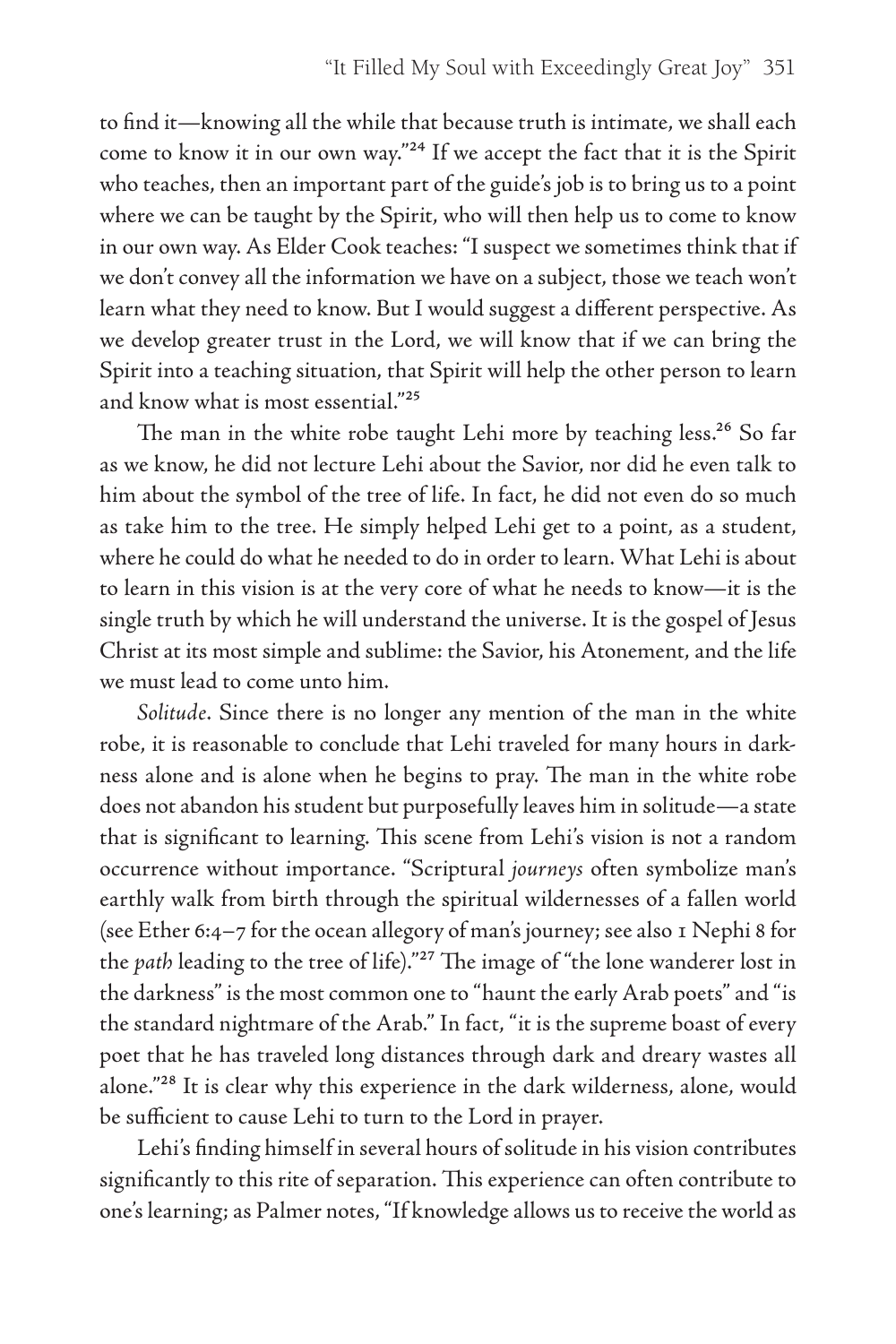to find it—knowing all the while that because truth is intimate, we shall each come to know it in our own way."24 If we accept the fact that it is the Spirit who teaches, then an important part of the guide's job is to bring us to a point where we can be taught by the Spirit, who will then help us to come to know in our own way. As Elder Cook teaches: "I suspect we sometimes think that if we don't convey all the information we have on a subject, those we teach won't learn what they need to know. But I would suggest a different perspective. As we develop greater trust in the Lord, we will know that if we can bring the Spirit into a teaching situation, that Spirit will help the other person to learn and know what is most essential."25

The man in the white robe taught Lehi more by teaching less.<sup>26</sup> So far as we know, he did not lecture Lehi about the Savior, nor did he even talk to him about the symbol of the tree of life. In fact, he did not even do so much as take him to the tree. He simply helped Lehi get to a point, as a student, where he could do what he needed to do in order to learn. What Lehi is about to learn in this vision is at the very core of what he needs to know—it is the single truth by which he will understand the universe. It is the gospel of Jesus Christ at its most simple and sublime: the Savior, his Atonement, and the life we must lead to come unto him.

*Solitude*. Since there is no longer any mention of the man in the white robe, it is reasonable to conclude that Lehi traveled for many hours in darkness alone and is alone when he begins to pray. The man in the white robe does not abandon his student but purposefully leaves him in solitude—a state that is significant to learning. This scene from Lehi's vision is not a random occurrence without importance. "Scriptural *journeys* often symbolize man's earthly walk from birth through the spiritual wildernesses of a fallen world (see Ether 6:4–7 for the ocean allegory of man's journey; see also 1 Nephi 8 for the *path* leading to the tree of life)."27 The image of "the lone wanderer lost in the darkness" is the most common one to "haunt the early Arab poets" and "is the standard nightmare of the Arab." In fact, "it is the supreme boast of every poet that he has traveled long distances through dark and dreary wastes all alone."28 It is clear why this experience in the dark wilderness, alone, would be sufficient to cause Lehi to turn to the Lord in prayer.

Lehi's finding himself in several hours of solitude in his vision contributes significantly to this rite of separation. This experience can often contribute to one's learning; as Palmer notes, "If knowledge allows us to receive the world as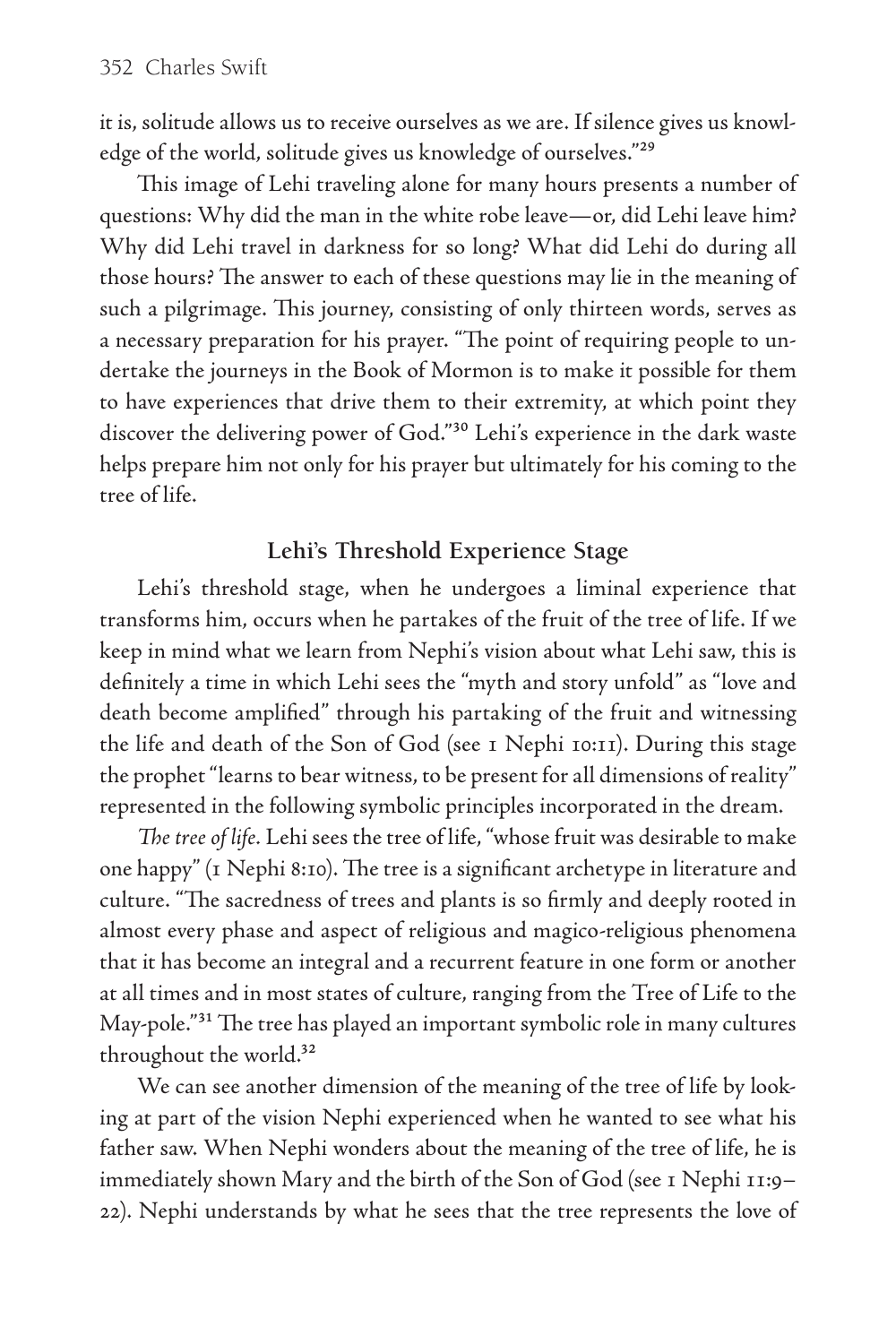it is, solitude allows us to receive ourselves as we are. If silence gives us knowledge of the world, solitude gives us knowledge of ourselves."29

This image of Lehi traveling alone for many hours presents a number of questions: Why did the man in the white robe leave—or, did Lehi leave him? Why did Lehi travel in darkness for so long? What did Lehi do during all those hours? The answer to each of these questions may lie in the meaning of such a pilgrimage. This journey, consisting of only thirteen words, serves as a necessary preparation for his prayer. "The point of requiring people to undertake the journeys in the Book of Mormon is to make it possible for them to have experiences that drive them to their extremity, at which point they discover the delivering power of God."30 Lehi's experience in the dark waste helps prepare him not only for his prayer but ultimately for his coming to the tree of life.

### **Lehi's Threshold Experience Stage**

Lehi's threshold stage, when he undergoes a liminal experience that transforms him, occurs when he partakes of the fruit of the tree of life. If we keep in mind what we learn from Nephi's vision about what Lehi saw, this is definitely a time in which Lehi sees the "myth and story unfold" as "love and death become amplified" through his partaking of the fruit and witnessing the life and death of the Son of God (see 1 Nephi 10:11). During this stage the prophet "learns to bear witness, to be present for all dimensions of reality" represented in the following symbolic principles incorporated in the dream.

*The tree of life.* Lehi sees the tree of life, "whose fruit was desirable to make one happy" (1 Nephi 8:10). The tree is a significant archetype in literature and culture. "The sacredness of trees and plants is so firmly and deeply rooted in almost every phase and aspect of religious and magico-religious phenomena that it has become an integral and a recurrent feature in one form or another at all times and in most states of culture, ranging from the Tree of Life to the May-pole."31 The tree has played an important symbolic role in many cultures throughout the world.<sup>32</sup>

We can see another dimension of the meaning of the tree of life by looking at part of the vision Nephi experienced when he wanted to see what his father saw. When Nephi wonders about the meaning of the tree of life, he is immediately shown Mary and the birth of the Son of God (see 1 Nephi 11:9– 22). Nephi understands by what he sees that the tree represents the love of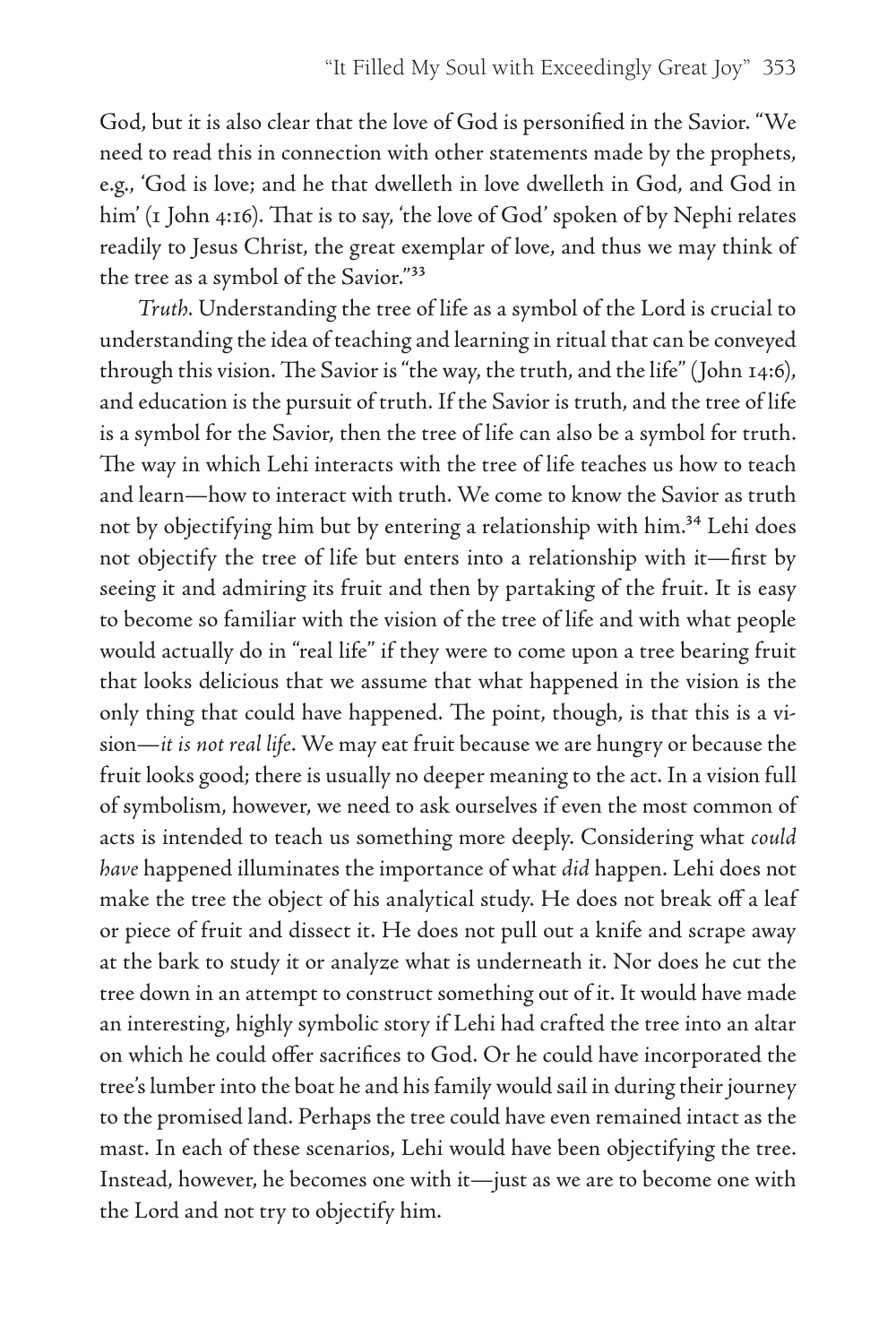God, but it is also clear that the love of God is personified in the Savior. "We need to read this in connection with other statements made by the prophets, e.g., 'God is love; and he that dwelleth in love dwelleth in God, and God in him' (1 John 4:16). That is to say, 'the love of God' spoken of by Nephi relates readily to Jesus Christ, the great exemplar of love, and thus we may think of the tree as a symbol of the Savior."33

*Truth*. Understanding the tree of life as a symbol of the Lord is crucial to understanding the idea of teaching and learning in ritual that can be conveyed through this vision. The Savior is "the way, the truth, and the life" (John 14:6), and education is the pursuit of truth. If the Savior is truth, and the tree of life is a symbol for the Savior, then the tree of life can also be a symbol for truth. The way in which Lehi interacts with the tree of life teaches us how to teach and learn—how to interact with truth. We come to know the Savior as truth not by objectifying him but by entering a relationship with him.<sup>34</sup> Lehi does not objectify the tree of life but enters into a relationship with it—first by seeing it and admiring its fruit and then by partaking of the fruit. It is easy to become so familiar with the vision of the tree of life and with what people would actually do in "real life" if they were to come upon a tree bearing fruit that looks delicious that we assume that what happened in the vision is the only thing that could have happened. The point, though, is that this is a vision—*it is not real life*. We may eat fruit because we are hungry or because the fruit looks good; there is usually no deeper meaning to the act. In a vision full of symbolism, however, we need to ask ourselves if even the most common of acts is intended to teach us something more deeply. Considering what *could have* happened illuminates the importance of what *did* happen. Lehi does not make the tree the object of his analytical study. He does not break off a leaf or piece of fruit and dissect it. He does not pull out a knife and scrape away at the bark to study it or analyze what is underneath it. Nor does he cut the tree down in an attempt to construct something out of it. It would have made an interesting, highly symbolic story if Lehi had crafted the tree into an altar on which he could offer sacrifices to God. Or he could have incorporated the tree's lumber into the boat he and his family would sail in during their journey to the promised land. Perhaps the tree could have even remained intact as the mast. In each of these scenarios, Lehi would have been objectifying the tree. Instead, however, he becomes one with it—just as we are to become one with the Lord and not try to objectify him.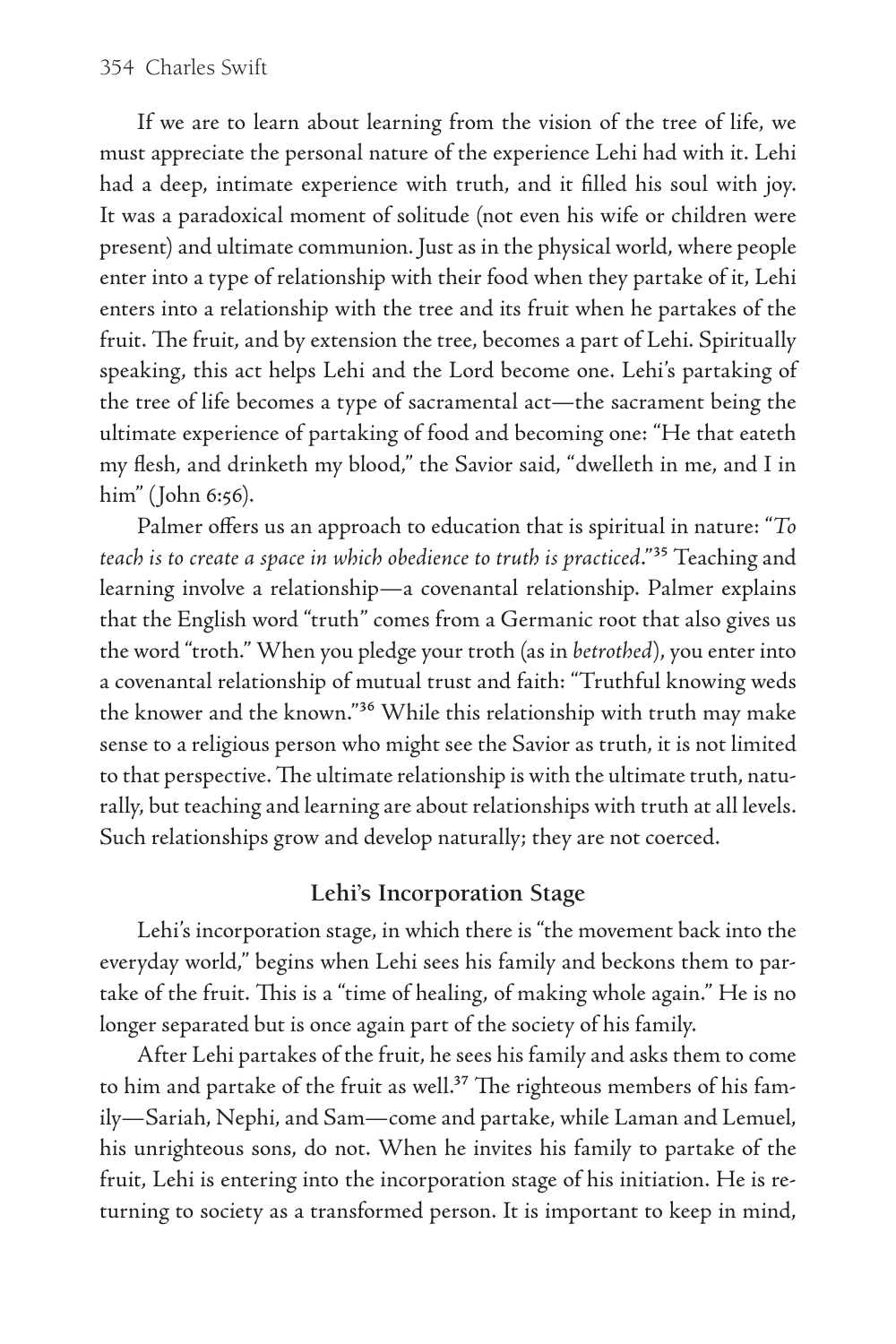If we are to learn about learning from the vision of the tree of life, we must appreciate the personal nature of the experience Lehi had with it. Lehi had a deep, intimate experience with truth, and it filled his soul with joy. It was a paradoxical moment of solitude (not even his wife or children were present) and ultimate communion. Just as in the physical world, where people enter into a type of relationship with their food when they partake of it, Lehi enters into a relationship with the tree and its fruit when he partakes of the fruit. The fruit, and by extension the tree, becomes a part of Lehi. Spiritually speaking, this act helps Lehi and the Lord become one. Lehi's partaking of the tree of life becomes a type of sacramental act—the sacrament being the ultimate experience of partaking of food and becoming one: "He that eateth my flesh, and drinketh my blood," the Savior said, "dwelleth in me, and I in him" (John 6:56).

Palmer offers us an approach to education that is spiritual in nature: "*To teach is to create a space in which obedience to truth is practiced*."35 Teaching and learning involve a relationship—a covenantal relationship. Palmer explains that the English word "truth" comes from a Germanic root that also gives us the word "troth." When you pledge your troth (as in *betrothed*), you enter into a covenantal relationship of mutual trust and faith: "Truthful knowing weds the knower and the known."36 While this relationship with truth may make sense to a religious person who might see the Savior as truth, it is not limited to that perspective. The ultimate relationship is with the ultimate truth, naturally, but teaching and learning are about relationships with truth at all levels. Such relationships grow and develop naturally; they are not coerced.

## **Lehi's Incorporation Stage**

Lehi's incorporation stage, in which there is "the movement back into the everyday world," begins when Lehi sees his family and beckons them to partake of the fruit. This is a "time of healing, of making whole again." He is no longer separated but is once again part of the society of his family.

After Lehi partakes of the fruit, he sees his family and asks them to come to him and partake of the fruit as well.<sup>37</sup> The righteous members of his family—Sariah, Nephi, and Sam—come and partake, while Laman and Lemuel, his unrighteous sons, do not. When he invites his family to partake of the fruit, Lehi is entering into the incorporation stage of his initiation. He is returning to society as a transformed person. It is important to keep in mind,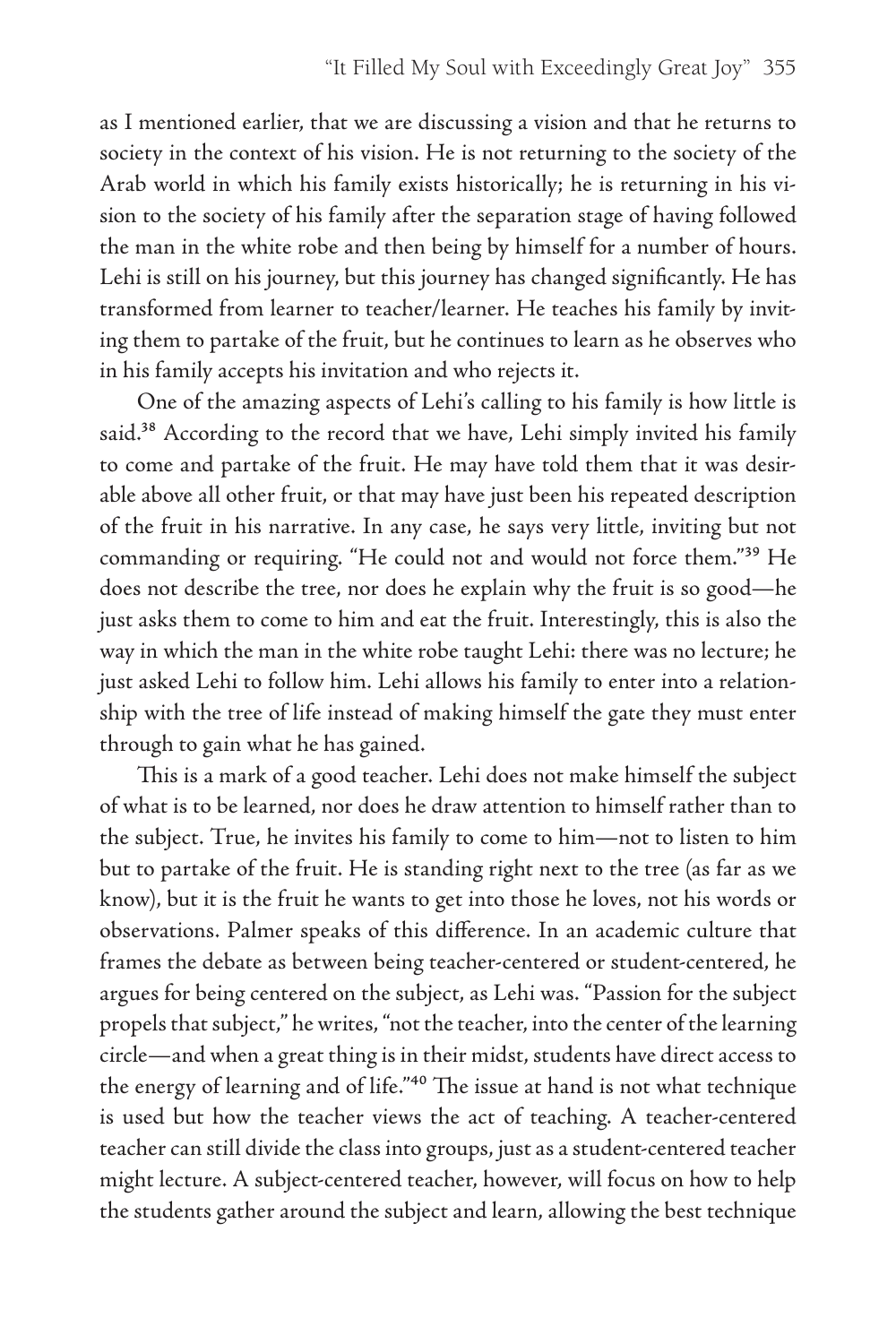as I mentioned earlier, that we are discussing a vision and that he returns to society in the context of his vision. He is not returning to the society of the Arab world in which his family exists historically; he is returning in his vision to the society of his family after the separation stage of having followed the man in the white robe and then being by himself for a number of hours. Lehi is still on his journey, but this journey has changed significantly. He has transformed from learner to teacher/learner. He teaches his family by inviting them to partake of the fruit, but he continues to learn as he observes who in his family accepts his invitation and who rejects it.

One of the amazing aspects of Lehi's calling to his family is how little is said.<sup>38</sup> According to the record that we have, Lehi simply invited his family to come and partake of the fruit. He may have told them that it was desirable above all other fruit, or that may have just been his repeated description of the fruit in his narrative. In any case, he says very little, inviting but not commanding or requiring. "He could not and would not force them."39 He does not describe the tree, nor does he explain why the fruit is so good—he just asks them to come to him and eat the fruit. Interestingly, this is also the way in which the man in the white robe taught Lehi: there was no lecture; he just asked Lehi to follow him. Lehi allows his family to enter into a relationship with the tree of life instead of making himself the gate they must enter through to gain what he has gained.

This is a mark of a good teacher. Lehi does not make himself the subject of what is to be learned, nor does he draw attention to himself rather than to the subject. True, he invites his family to come to him—not to listen to him but to partake of the fruit. He is standing right next to the tree (as far as we know), but it is the fruit he wants to get into those he loves, not his words or observations. Palmer speaks of this difference. In an academic culture that frames the debate as between being teacher-centered or student-centered, he argues for being centered on the subject, as Lehi was. "Passion for the subject propels that subject," he writes, "not the teacher, into the center of the learning circle—and when a great thing is in their midst, students have direct access to the energy of learning and of life."40 The issue at hand is not what technique is used but how the teacher views the act of teaching. A teacher-centered teacher can still divide the class into groups, just as a student-centered teacher might lecture. A subject-centered teacher, however, will focus on how to help the students gather around the subject and learn, allowing the best technique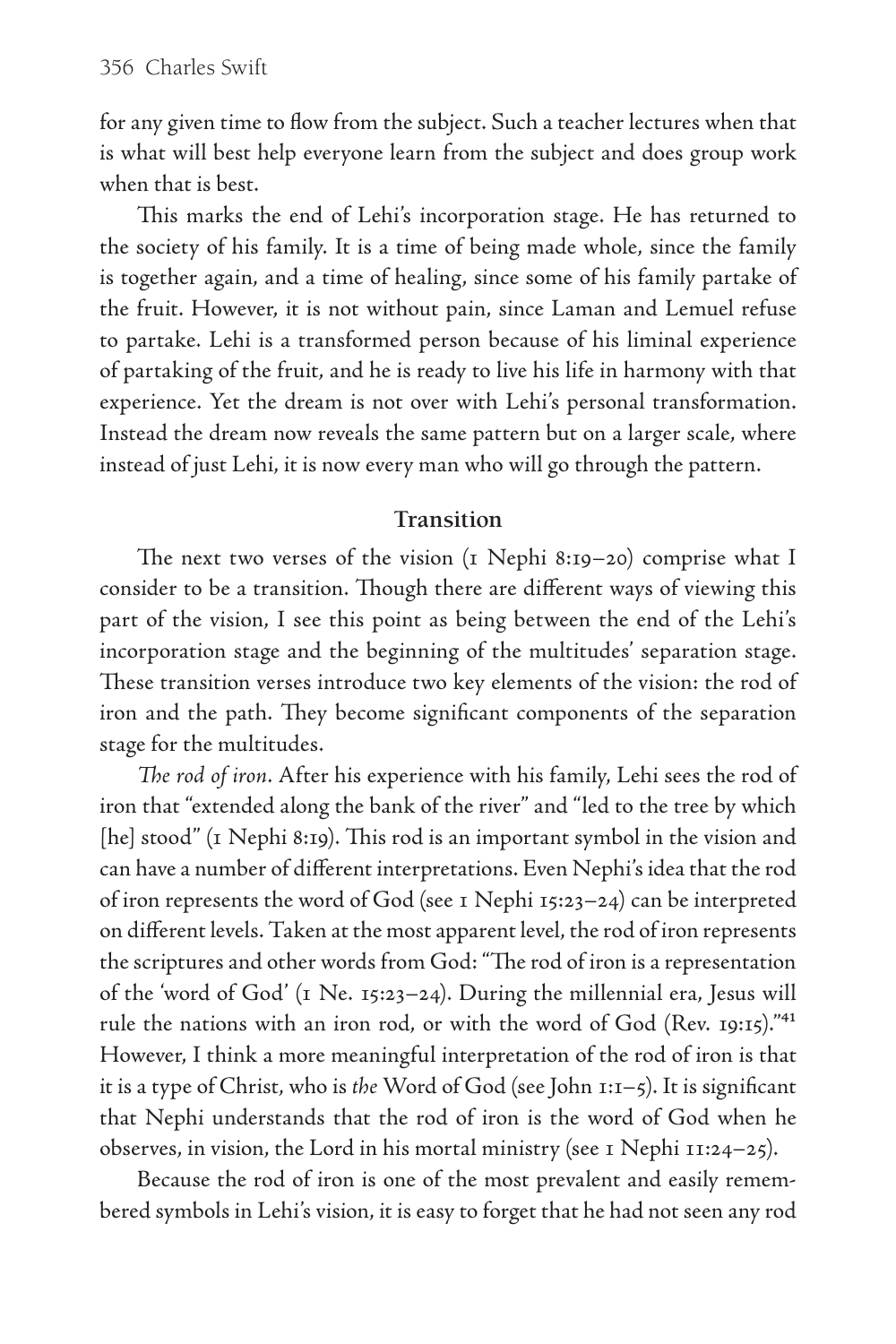for any given time to flow from the subject. Such a teacher lectures when that is what will best help everyone learn from the subject and does group work when that is best.

This marks the end of Lehi's incorporation stage. He has returned to the society of his family. It is a time of being made whole, since the family is together again, and a time of healing, since some of his family partake of the fruit. However, it is not without pain, since Laman and Lemuel refuse to partake. Lehi is a transformed person because of his liminal experience of partaking of the fruit, and he is ready to live his life in harmony with that experience. Yet the dream is not over with Lehi's personal transformation. Instead the dream now reveals the same pattern but on a larger scale, where instead of just Lehi, it is now every man who will go through the pattern.

#### **Transition**

The next two verses of the vision  $(I \nNephi 8:19-20)$  comprise what I consider to be a transition. Though there are different ways of viewing this part of the vision, I see this point as being between the end of the Lehi's incorporation stage and the beginning of the multitudes' separation stage. These transition verses introduce two key elements of the vision: the rod of iron and the path. They become significant components of the separation stage for the multitudes.

*The rod of iron*. After his experience with his family, Lehi sees the rod of iron that "extended along the bank of the river" and "led to the tree by which [he] stood" (1 Nephi 8:19). This rod is an important symbol in the vision and can have a number of different interpretations. Even Nephi's idea that the rod of iron represents the word of God (see 1 Nephi 15:23–24) can be interpreted on different levels. Taken at the most apparent level, the rod of iron represents the scriptures and other words from God: "The rod of iron is a representation of the 'word of God' (1 Ne. 15:23–24). During the millennial era, Jesus will rule the nations with an iron rod, or with the word of God (Rev. 19:15)."41 However, I think a more meaningful interpretation of the rod of iron is that it is a type of Christ, who is *the* Word of God (see John 1:1–5). It is significant that Nephi understands that the rod of iron is the word of God when he observes, in vision, the Lord in his mortal ministry (see 1 Nephi 11:24–25).

Because the rod of iron is one of the most prevalent and easily remembered symbols in Lehi's vision, it is easy to forget that he had not seen any rod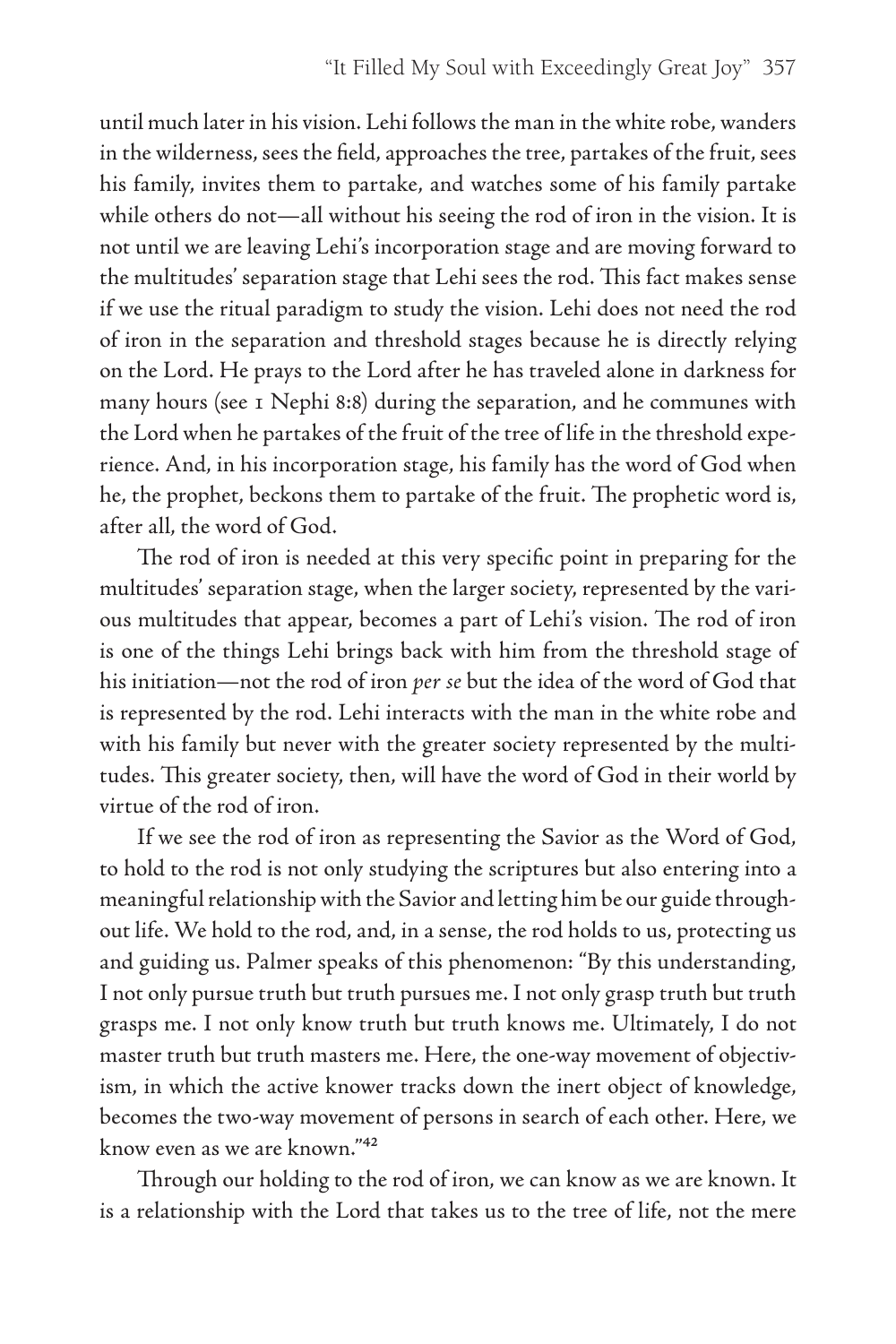until much later in his vision. Lehi follows the man in the white robe, wanders in the wilderness, sees the field, approaches the tree, partakes of the fruit, sees his family, invites them to partake, and watches some of his family partake while others do not—all without his seeing the rod of iron in the vision. It is not until we are leaving Lehi's incorporation stage and are moving forward to the multitudes' separation stage that Lehi sees the rod. This fact makes sense if we use the ritual paradigm to study the vision. Lehi does not need the rod of iron in the separation and threshold stages because he is directly relying on the Lord. He prays to the Lord after he has traveled alone in darkness for many hours (see 1 Nephi 8:8) during the separation, and he communes with the Lord when he partakes of the fruit of the tree of life in the threshold experience. And, in his incorporation stage, his family has the word of God when he, the prophet, beckons them to partake of the fruit. The prophetic word is, after all, the word of God.

The rod of iron is needed at this very specific point in preparing for the multitudes' separation stage, when the larger society, represented by the various multitudes that appear, becomes a part of Lehi's vision. The rod of iron is one of the things Lehi brings back with him from the threshold stage of his initiation—not the rod of iron *per se* but the idea of the word of God that is represented by the rod. Lehi interacts with the man in the white robe and with his family but never with the greater society represented by the multitudes. This greater society, then, will have the word of God in their world by virtue of the rod of iron.

If we see the rod of iron as representing the Savior as the Word of God, to hold to the rod is not only studying the scriptures but also entering into a meaningful relationship with the Savior and letting him be our guide throughout life. We hold to the rod, and, in a sense, the rod holds to us, protecting us and guiding us. Palmer speaks of this phenomenon: "By this understanding, I not only pursue truth but truth pursues me. I not only grasp truth but truth grasps me. I not only know truth but truth knows me. Ultimately, I do not master truth but truth masters me. Here, the one-way movement of objectivism, in which the active knower tracks down the inert object of knowledge, becomes the two-way movement of persons in search of each other. Here, we know even as we are known."42

Through our holding to the rod of iron, we can know as we are known. It is a relationship with the Lord that takes us to the tree of life, not the mere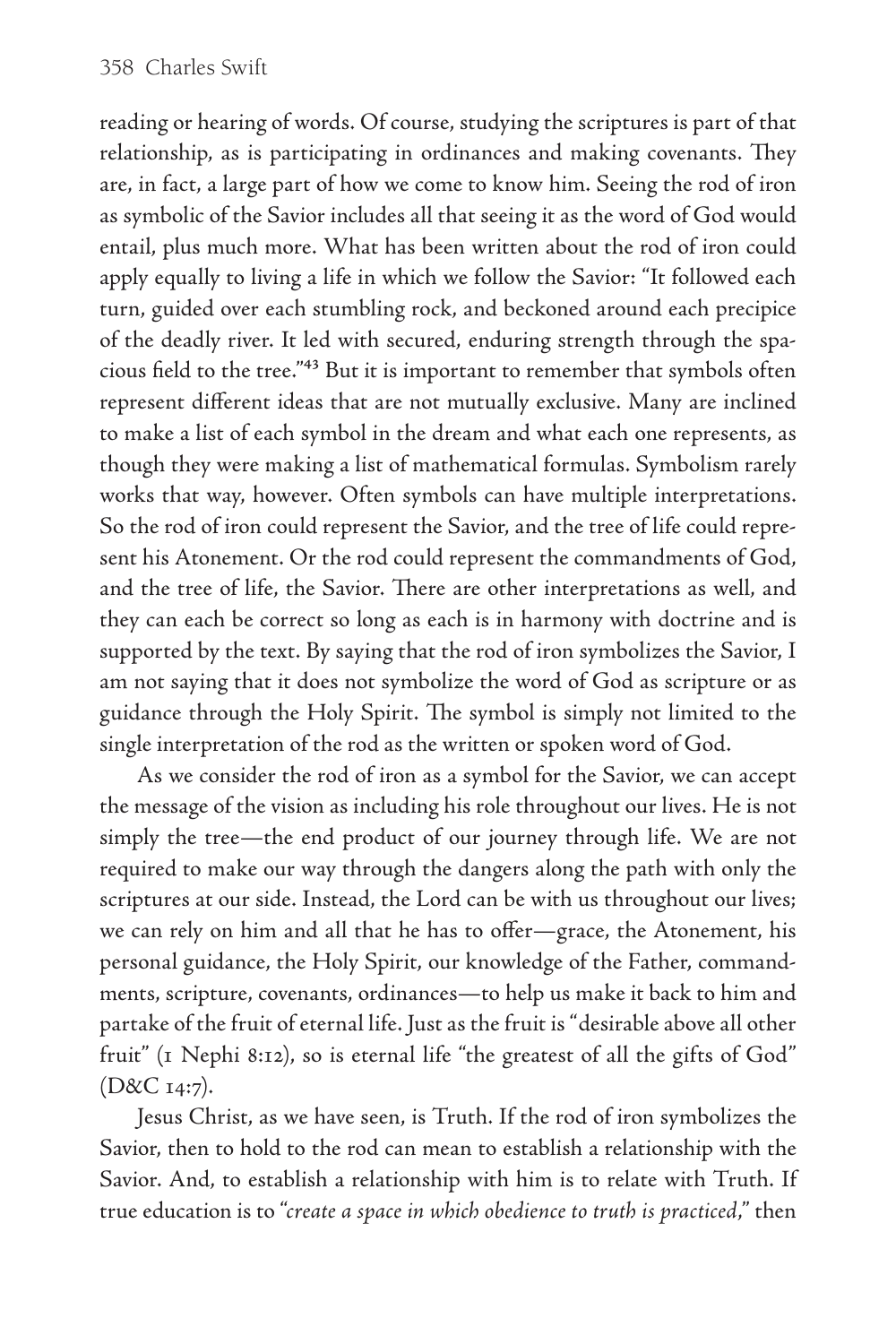reading or hearing of words. Of course, studying the scriptures is part of that relationship, as is participating in ordinances and making covenants. They are, in fact, a large part of how we come to know him. Seeing the rod of iron as symbolic of the Savior includes all that seeing it as the word of God would entail, plus much more. What has been written about the rod of iron could apply equally to living a life in which we follow the Savior: "It followed each turn, guided over each stumbling rock, and beckoned around each precipice of the deadly river. It led with secured, enduring strength through the spacious field to the tree."43 But it is important to remember that symbols often represent different ideas that are not mutually exclusive. Many are inclined to make a list of each symbol in the dream and what each one represents, as though they were making a list of mathematical formulas. Symbolism rarely works that way, however. Often symbols can have multiple interpretations. So the rod of iron could represent the Savior, and the tree of life could represent his Atonement. Or the rod could represent the commandments of God, and the tree of life, the Savior. There are other interpretations as well, and they can each be correct so long as each is in harmony with doctrine and is supported by the text. By saying that the rod of iron symbolizes the Savior, I am not saying that it does not symbolize the word of God as scripture or as guidance through the Holy Spirit. The symbol is simply not limited to the single interpretation of the rod as the written or spoken word of God.

As we consider the rod of iron as a symbol for the Savior, we can accept the message of the vision as including his role throughout our lives. He is not simply the tree—the end product of our journey through life. We are not required to make our way through the dangers along the path with only the scriptures at our side. Instead, the Lord can be with us throughout our lives; we can rely on him and all that he has to offer—grace, the Atonement, his personal guidance, the Holy Spirit, our knowledge of the Father, commandments, scripture, covenants, ordinances—to help us make it back to him and partake of the fruit of eternal life. Just as the fruit is "desirable above all other fruit" (1 Nephi 8:12), so is eternal life "the greatest of all the gifts of God" (D&C 14:7).

Jesus Christ, as we have seen, is Truth. If the rod of iron symbolizes the Savior, then to hold to the rod can mean to establish a relationship with the Savior. And, to establish a relationship with him is to relate with Truth. If true education is to "*create a space in which obedience to truth is practiced*," then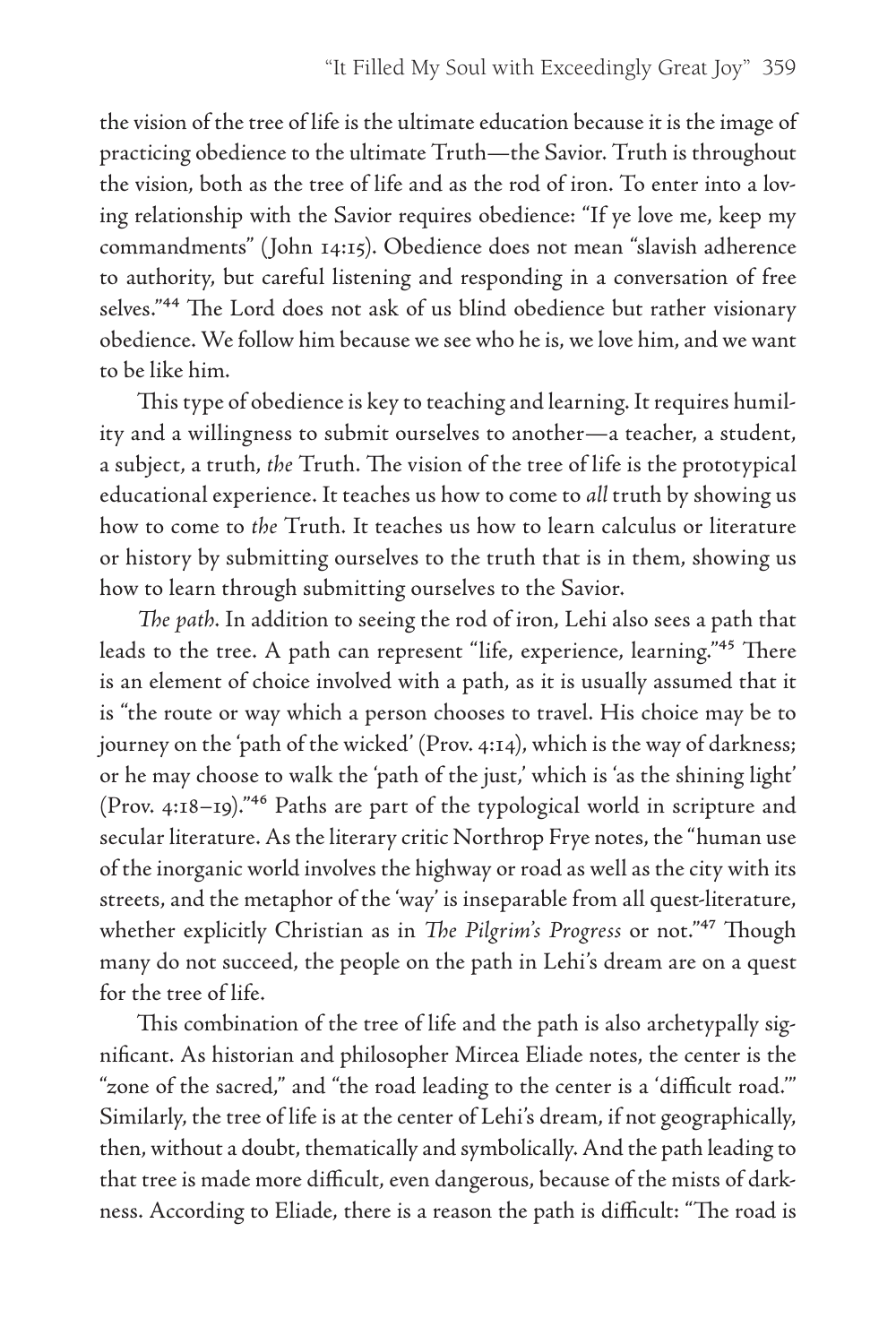the vision of the tree of life is the ultimate education because it is the image of practicing obedience to the ultimate Truth—the Savior. Truth is throughout the vision, both as the tree of life and as the rod of iron. To enter into a loving relationship with the Savior requires obedience: "If ye love me, keep my commandments" (John 14:15). Obedience does not mean "slavish adherence to authority, but careful listening and responding in a conversation of free selves."44 The Lord does not ask of us blind obedience but rather visionary obedience. We follow him because we see who he is, we love him, and we want to be like him.

This type of obedience is key to teaching and learning. It requires humility and a willingness to submit ourselves to another—a teacher, a student, a subject, a truth, *the* Truth. The vision of the tree of life is the prototypical educational experience. It teaches us how to come to *all* truth by showing us how to come to *the* Truth. It teaches us how to learn calculus or literature or history by submitting ourselves to the truth that is in them, showing us how to learn through submitting ourselves to the Savior.

*The path*. In addition to seeing the rod of iron, Lehi also sees a path that leads to the tree. A path can represent "life, experience, learning."45 There is an element of choice involved with a path, as it is usually assumed that it is "the route or way which a person chooses to travel. His choice may be to journey on the 'path of the wicked' (Prov. 4:14), which is the way of darkness; or he may choose to walk the 'path of the just,' which is 'as the shining light' (Prov. 4:18–19)."46 Paths are part of the typological world in scripture and secular literature. As the literary critic Northrop Frye notes, the "human use of the inorganic world involves the highway or road as well as the city with its streets, and the metaphor of the 'way' is inseparable from all quest-literature, whether explicitly Christian as in *The Pilgrim's Progress* or not."47 Though many do not succeed, the people on the path in Lehi's dream are on a quest for the tree of life.

This combination of the tree of life and the path is also archetypally significant. As historian and philosopher Mircea Eliade notes, the center is the "zone of the sacred," and "the road leading to the center is a 'difficult road.'" Similarly, the tree of life is at the center of Lehi's dream, if not geographically, then, without a doubt, thematically and symbolically. And the path leading to that tree is made more difficult, even dangerous, because of the mists of darkness. According to Eliade, there is a reason the path is difficult: "The road is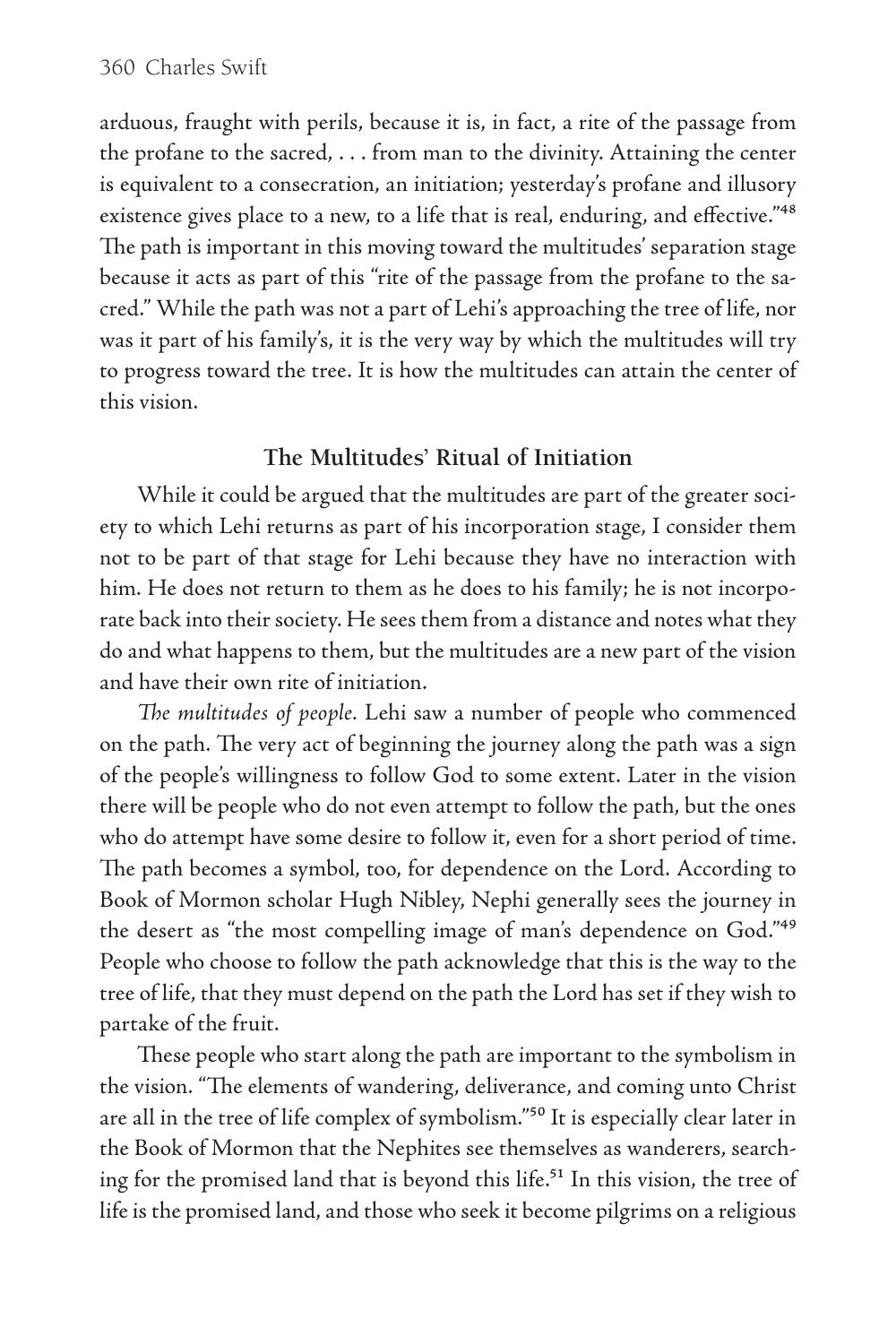arduous, fraught with perils, because it is, in fact, a rite of the passage from the profane to the sacred, ... from man to the divinity. Attaining the center is equivalent to a consecration, an initiation; yesterday's profane and illusory existence gives place to a new, to a life that is real, enduring, and effective."48 The path is important in this moving toward the multitudes' separation stage because it acts as part of this "rite of the passage from the profane to the sacred." While the path was not a part of Lehi's approaching the tree of life, nor was it part of his family's, it is the very way by which the multitudes will try to progress toward the tree. It is how the multitudes can attain the center of this vision.

# **The Multitudes' Ritual of Initiation**

While it could be argued that the multitudes are part of the greater society to which Lehi returns as part of his incorporation stage, I consider them not to be part of that stage for Lehi because they have no interaction with him. He does not return to them as he does to his family; he is not incorporate back into their society. He sees them from a distance and notes what they do and what happens to them, but the multitudes are a new part of the vision and have their own rite of initiation.

*The multitudes of people.* Lehi saw a number of people who commenced on the path. The very act of beginning the journey along the path was a sign of the people's willingness to follow God to some extent. Later in the vision there will be people who do not even attempt to follow the path, but the ones who do attempt have some desire to follow it, even for a short period of time. The path becomes a symbol, too, for dependence on the Lord. According to Book of Mormon scholar Hugh Nibley, Nephi generally sees the journey in the desert as "the most compelling image of man's dependence on God."49 People who choose to follow the path acknowledge that this is the way to the tree of life, that they must depend on the path the Lord has set if they wish to partake of the fruit.

These people who start along the path are important to the symbolism in the vision. "The elements of wandering, deliverance, and coming unto Christ are all in the tree of life complex of symbolism."50 It is especially clear later in the Book of Mormon that the Nephites see themselves as wanderers, searching for the promised land that is beyond this life.<sup>51</sup> In this vision, the tree of life is the promised land, and those who seek it become pilgrims on a religious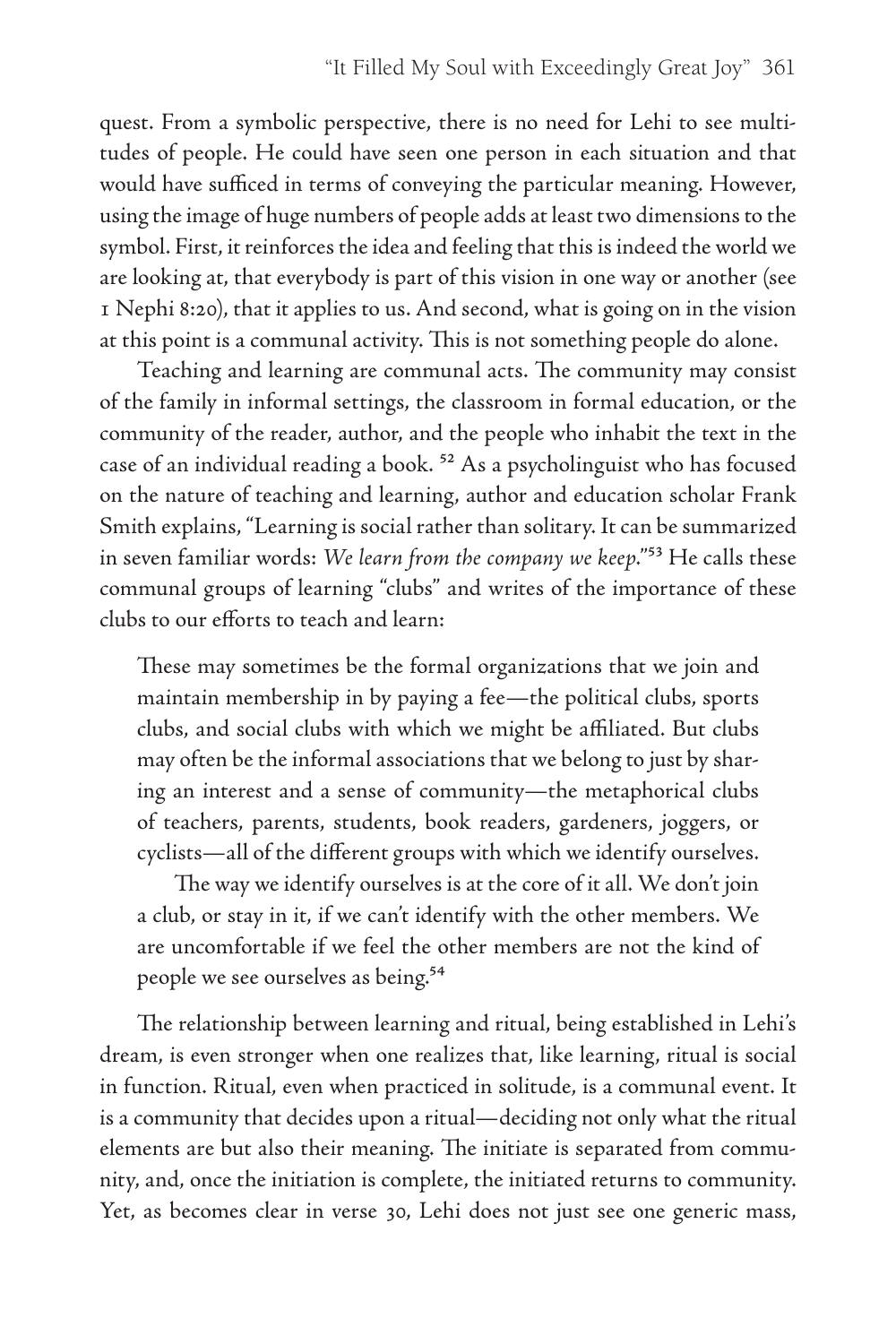quest. From a symbolic perspective, there is no need for Lehi to see multitudes of people. He could have seen one person in each situation and that would have sufficed in terms of conveying the particular meaning. However, using the image of huge numbers of people adds at least two dimensions to the symbol. First, it reinforces the idea and feeling that this is indeed the world we are looking at, that everybody is part of this vision in one way or another (see 1 Nephi 8:20), that it applies to us. And second, what is going on in the vision at this point is a communal activity. This is not something people do alone.

Teaching and learning are communal acts. The community may consist of the family in informal settings, the classroom in formal education, or the community of the reader, author, and the people who inhabit the text in the case of an individual reading a book. 52 As a psycholinguist who has focused on the nature of teaching and learning, author and education scholar Frank Smith explains, "Learning is social rather than solitary. It can be summarized in seven familiar words: *We learn from the company we keep*."53 He calls these communal groups of learning "clubs" and writes of the importance of these clubs to our efforts to teach and learn:

These may sometimes be the formal organizations that we join and maintain membership in by paying a fee—the political clubs, sports clubs, and social clubs with which we might be affiliated. But clubs may often be the informal associations that we belong to just by sharing an interest and a sense of community—the metaphorical clubs of teachers, parents, students, book readers, gardeners, joggers, or cyclists—all of the different groups with which we identify ourselves.

The way we identify ourselves is at the core of it all. We don't join a club, or stay in it, if we can't identify with the other members. We are uncomfortable if we feel the other members are not the kind of people we see ourselves as being.<sup>54</sup>

The relationship between learning and ritual, being established in Lehi's dream, is even stronger when one realizes that, like learning, ritual is social in function. Ritual, even when practiced in solitude, is a communal event. It is a community that decides upon a ritual—deciding not only what the ritual elements are but also their meaning. The initiate is separated from community, and, once the initiation is complete, the initiated returns to community. Yet, as becomes clear in verse 30, Lehi does not just see one generic mass,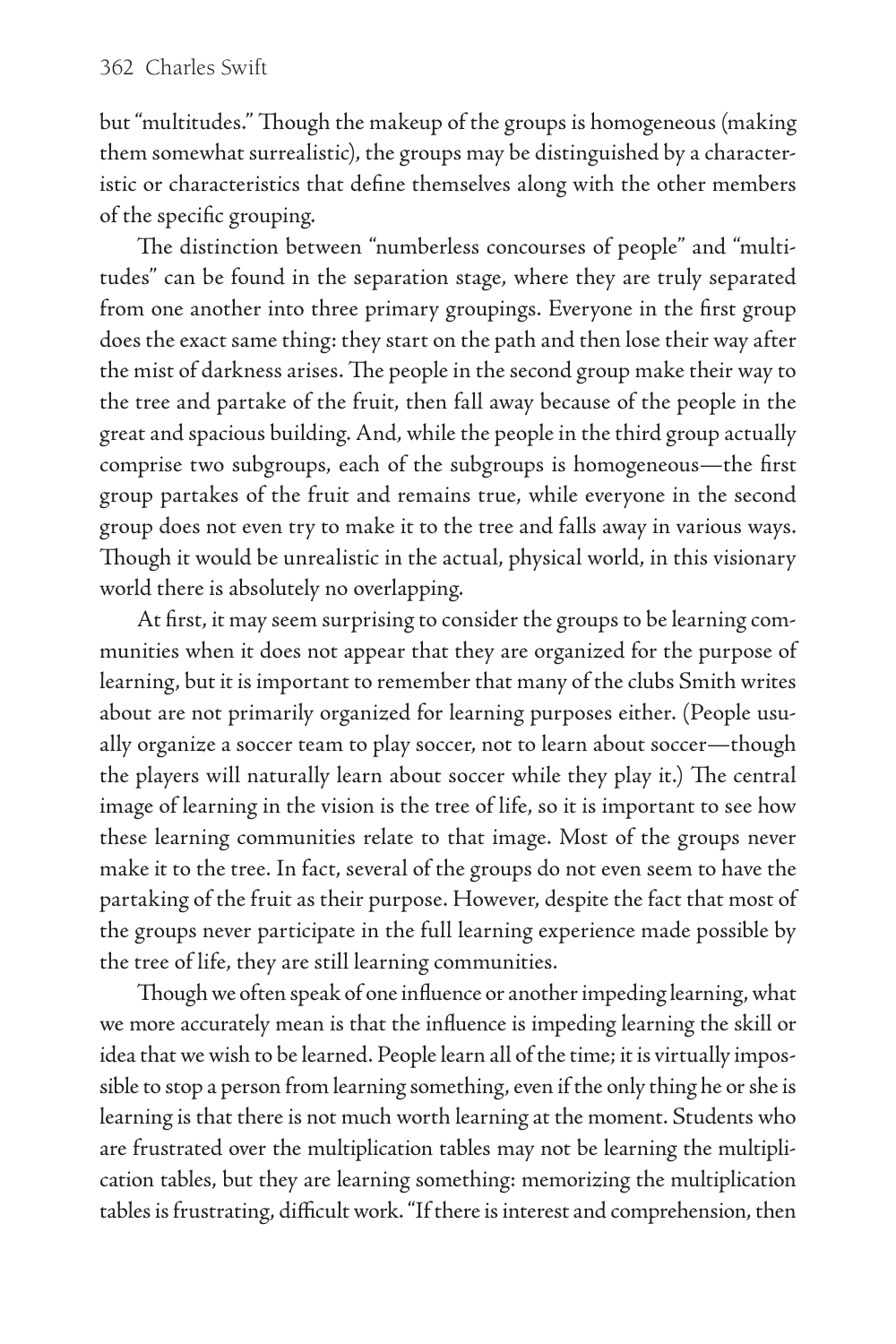but "multitudes." Though the makeup of the groups is homogeneous (making them somewhat surrealistic), the groups may be distinguished by a characteristic or characteristics that define themselves along with the other members of the specific grouping.

The distinction between "numberless concourses of people" and "multitudes" can be found in the separation stage, where they are truly separated from one another into three primary groupings. Everyone in the first group does the exact same thing: they start on the path and then lose their way after the mist of darkness arises. The people in the second group make their way to the tree and partake of the fruit, then fall away because of the people in the great and spacious building. And, while the people in the third group actually comprise two subgroups, each of the subgroups is homogeneous—the first group partakes of the fruit and remains true, while everyone in the second group does not even try to make it to the tree and falls away in various ways. Though it would be unrealistic in the actual, physical world, in this visionary world there is absolutely no overlapping.

At first, it may seem surprising to consider the groups to be learning communities when it does not appear that they are organized for the purpose of learning, but it is important to remember that many of the clubs Smith writes about are not primarily organized for learning purposes either. (People usually organize a soccer team to play soccer, not to learn about soccer—though the players will naturally learn about soccer while they play it.) The central image of learning in the vision is the tree of life, so it is important to see how these learning communities relate to that image. Most of the groups never make it to the tree. In fact, several of the groups do not even seem to have the partaking of the fruit as their purpose. However, despite the fact that most of the groups never participate in the full learning experience made possible by the tree of life, they are still learning communities.

Though we often speak of one influence or another impeding learning, what we more accurately mean is that the influence is impeding learning the skill or idea that we wish to be learned. People learn all of the time; it is virtually impossible to stop a person from learning something, even if the only thing he or she is learning is that there is not much worth learning at the moment. Students who are frustrated over the multiplication tables may not be learning the multiplication tables, but they are learning something: memorizing the multiplication tables is frustrating, difficult work. "If there is interest and comprehension, then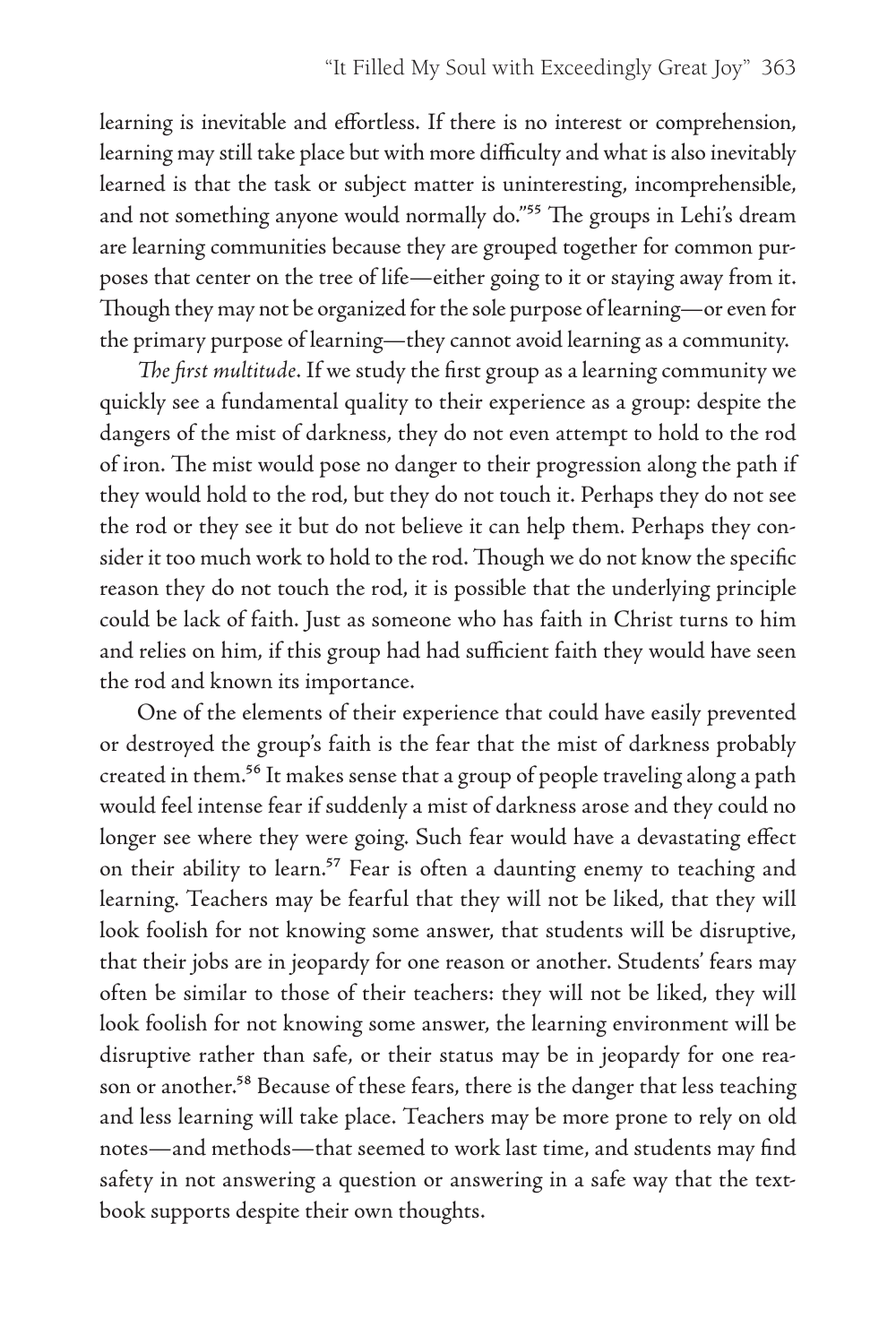learning is inevitable and effortless. If there is no interest or comprehension, learning may still take place but with more difficulty and what is also inevitably learned is that the task or subject matter is uninteresting, incomprehensible, and not something anyone would normally do."<sup>55</sup> The groups in Lehi's dream are learning communities because they are grouped together for common purposes that center on the tree of life—either going to it or staying away from it. Though they may not be organized for the sole purpose of learning—or even for the primary purpose of learning—they cannot avoid learning as a community.

*The first multitude*. If we study the first group as a learning community we quickly see a fundamental quality to their experience as a group: despite the dangers of the mist of darkness, they do not even attempt to hold to the rod of iron. The mist would pose no danger to their progression along the path if they would hold to the rod, but they do not touch it. Perhaps they do not see the rod or they see it but do not believe it can help them. Perhaps they consider it too much work to hold to the rod. Though we do not know the specific reason they do not touch the rod, it is possible that the underlying principle could be lack of faith. Just as someone who has faith in Christ turns to him and relies on him, if this group had had sufficient faith they would have seen the rod and known its importance.

One of the elements of their experience that could have easily prevented or destroyed the group's faith is the fear that the mist of darkness probably created in them.56 It makes sense that a group of people traveling along a path would feel intense fear if suddenly a mist of darkness arose and they could no longer see where they were going. Such fear would have a devastating effect on their ability to learn.<sup>57</sup> Fear is often a daunting enemy to teaching and learning. Teachers may be fearful that they will not be liked, that they will look foolish for not knowing some answer, that students will be disruptive, that their jobs are in jeopardy for one reason or another. Students' fears may often be similar to those of their teachers: they will not be liked, they will look foolish for not knowing some answer, the learning environment will be disruptive rather than safe, or their status may be in jeopardy for one reason or another.<sup>58</sup> Because of these fears, there is the danger that less teaching and less learning will take place. Teachers may be more prone to rely on old notes—and methods—that seemed to work last time, and students may find safety in not answering a question or answering in a safe way that the textbook supports despite their own thoughts.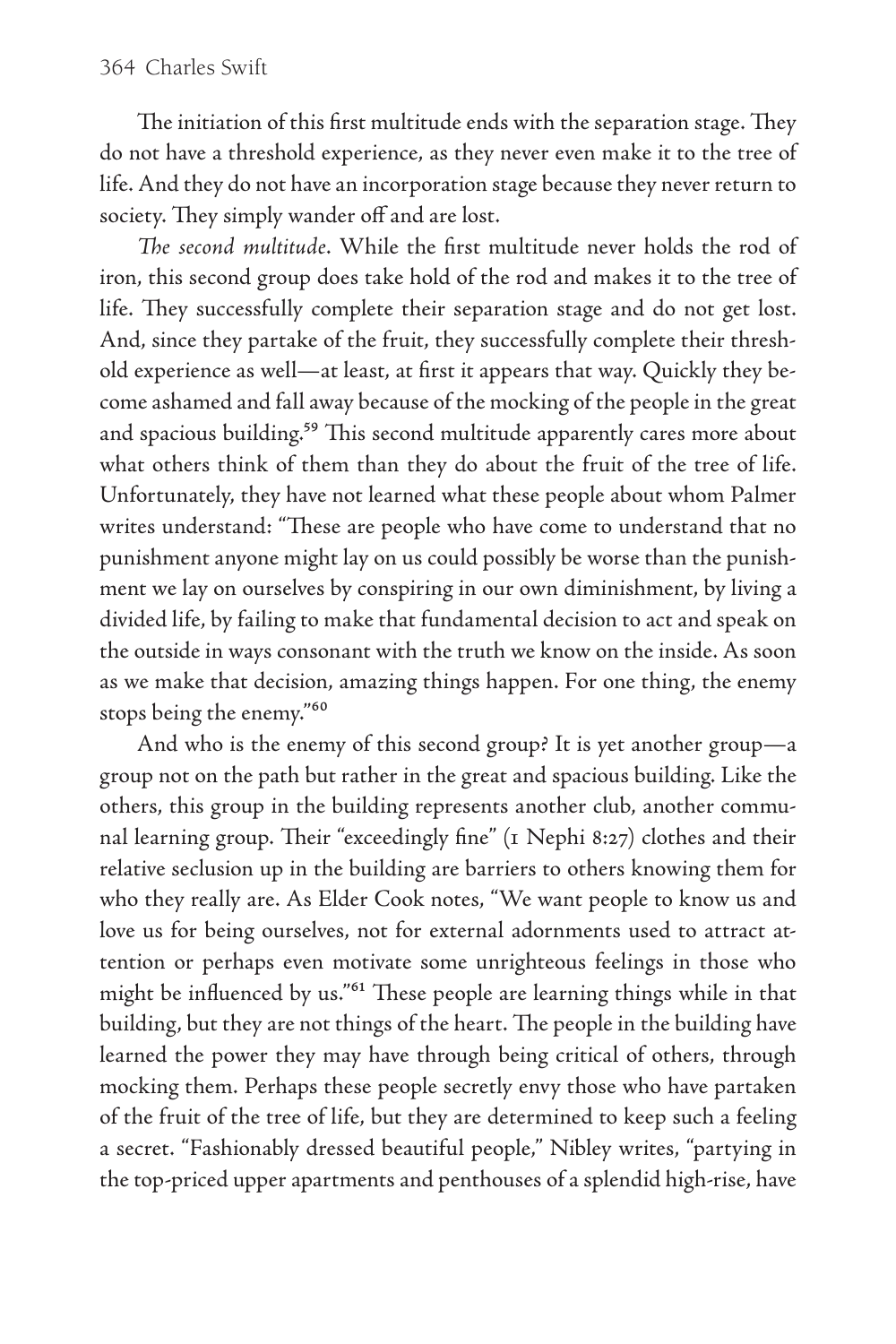The initiation of this first multitude ends with the separation stage. They do not have a threshold experience, as they never even make it to the tree of life. And they do not have an incorporation stage because they never return to society. They simply wander off and are lost.

*The second multitude*. While the first multitude never holds the rod of iron, this second group does take hold of the rod and makes it to the tree of life. They successfully complete their separation stage and do not get lost. And, since they partake of the fruit, they successfully complete their threshold experience as well—at least, at first it appears that way. Quickly they become ashamed and fall away because of the mocking of the people in the great and spacious building.<sup>59</sup> This second multitude apparently cares more about what others think of them than they do about the fruit of the tree of life. Unfortunately, they have not learned what these people about whom Palmer writes understand: "These are people who have come to understand that no punishment anyone might lay on us could possibly be worse than the punishment we lay on ourselves by conspiring in our own diminishment, by living a divided life, by failing to make that fundamental decision to act and speak on the outside in ways consonant with the truth we know on the inside. As soon as we make that decision, amazing things happen. For one thing, the enemy stops being the enemy."60

And who is the enemy of this second group? It is yet another group—a group not on the path but rather in the great and spacious building. Like the others, this group in the building represents another club, another communal learning group. Their "exceedingly fine" (1 Nephi 8:27) clothes and their relative seclusion up in the building are barriers to others knowing them for who they really are. As Elder Cook notes, "We want people to know us and love us for being ourselves, not for external adornments used to attract attention or perhaps even motivate some unrighteous feelings in those who might be influenced by us."61 These people are learning things while in that building, but they are not things of the heart. The people in the building have learned the power they may have through being critical of others, through mocking them. Perhaps these people secretly envy those who have partaken of the fruit of the tree of life, but they are determined to keep such a feeling a secret. "Fashionably dressed beautiful people," Nibley writes, "partying in the top-priced upper apartments and penthouses of a splendid high-rise, have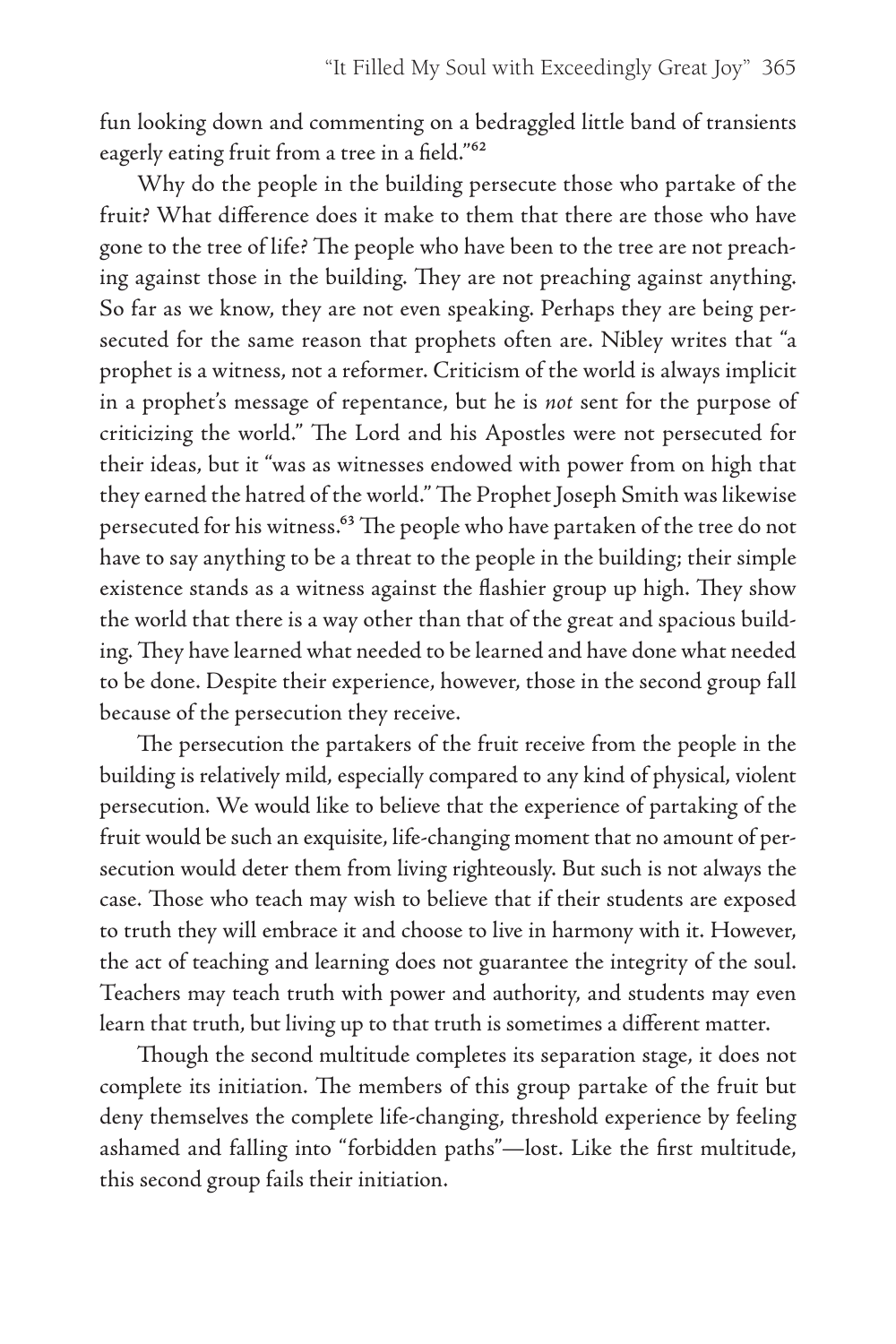fun looking down and commenting on a bedraggled little band of transients eagerly eating fruit from a tree in a field."62

Why do the people in the building persecute those who partake of the fruit? What difference does it make to them that there are those who have gone to the tree of life? The people who have been to the tree are not preaching against those in the building. They are not preaching against anything. So far as we know, they are not even speaking. Perhaps they are being persecuted for the same reason that prophets often are. Nibley writes that "a prophet is a witness, not a reformer. Criticism of the world is always implicit in a prophet's message of repentance, but he is *not* sent for the purpose of criticizing the world." The Lord and his Apostles were not persecuted for their ideas, but it "was as witnesses endowed with power from on high that they earned the hatred of the world." The Prophet Joseph Smith was likewise persecuted for his witness.63 The people who have partaken of the tree do not have to say anything to be a threat to the people in the building; their simple existence stands as a witness against the flashier group up high. They show the world that there is a way other than that of the great and spacious building. They have learned what needed to be learned and have done what needed to be done. Despite their experience, however, those in the second group fall because of the persecution they receive.

The persecution the partakers of the fruit receive from the people in the building is relatively mild, especially compared to any kind of physical, violent persecution. We would like to believe that the experience of partaking of the fruit would be such an exquisite, life-changing moment that no amount of persecution would deter them from living righteously. But such is not always the case. Those who teach may wish to believe that if their students are exposed to truth they will embrace it and choose to live in harmony with it. However, the act of teaching and learning does not guarantee the integrity of the soul. Teachers may teach truth with power and authority, and students may even learn that truth, but living up to that truth is sometimes a different matter.

Though the second multitude completes its separation stage, it does not complete its initiation. The members of this group partake of the fruit but deny themselves the complete life-changing, threshold experience by feeling ashamed and falling into "forbidden paths"—lost. Like the first multitude, this second group fails their initiation.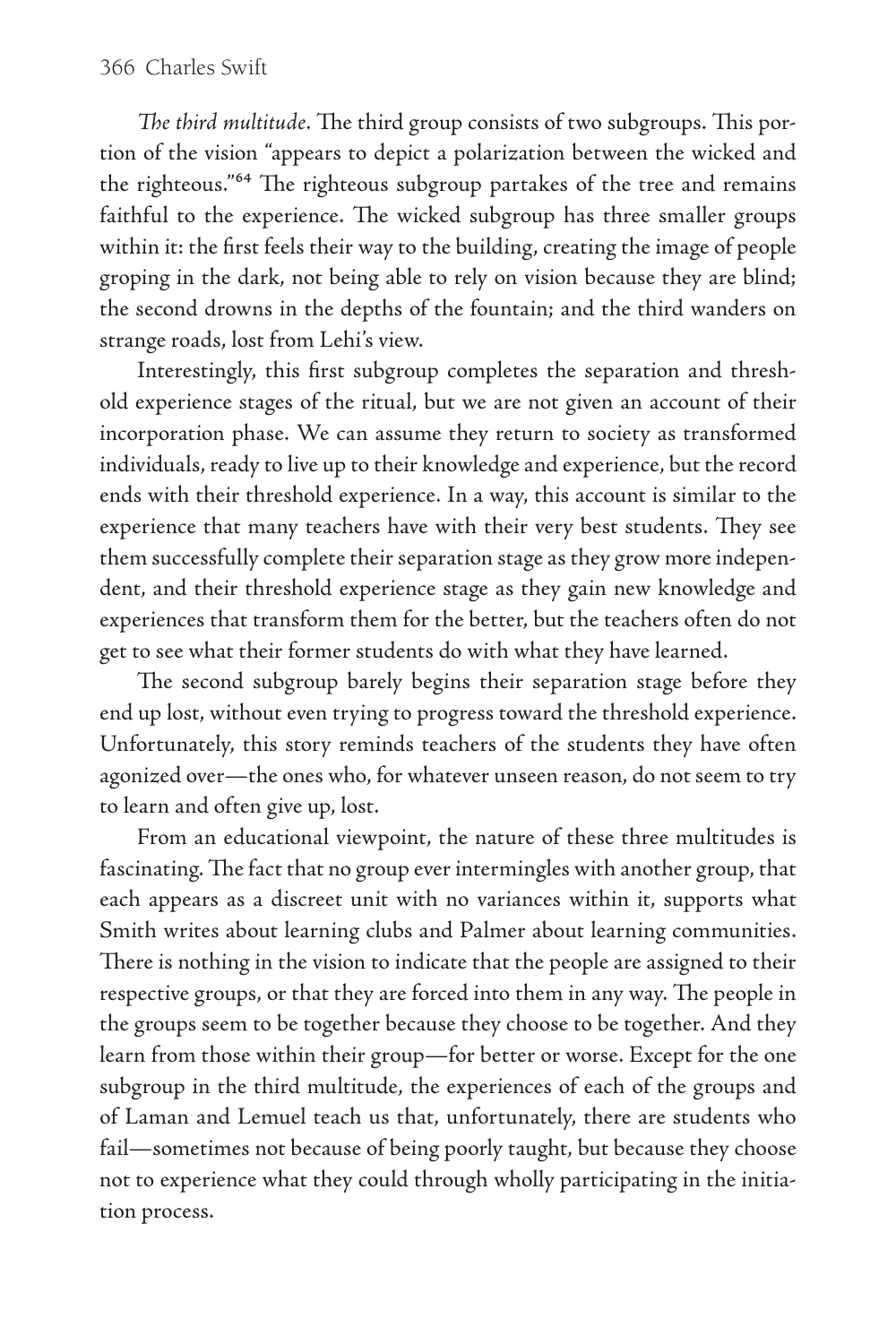*The third multitude*. The third group consists of two subgroups. This portion of the vision "appears to depict a polarization between the wicked and the righteous."64 The righteous subgroup partakes of the tree and remains faithful to the experience. The wicked subgroup has three smaller groups within it: the first feels their way to the building, creating the image of people groping in the dark, not being able to rely on vision because they are blind; the second drowns in the depths of the fountain; and the third wanders on strange roads, lost from Lehi's view.

Interestingly, this first subgroup completes the separation and threshold experience stages of the ritual, but we are not given an account of their incorporation phase. We can assume they return to society as transformed individuals, ready to live up to their knowledge and experience, but the record ends with their threshold experience. In a way, this account is similar to the experience that many teachers have with their very best students. They see them successfully complete their separation stage as they grow more independent, and their threshold experience stage as they gain new knowledge and experiences that transform them for the better, but the teachers often do not get to see what their former students do with what they have learned.

The second subgroup barely begins their separation stage before they end up lost, without even trying to progress toward the threshold experience. Unfortunately, this story reminds teachers of the students they have often agonized over—the ones who, for whatever unseen reason, do not seem to try to learn and often give up, lost.

From an educational viewpoint, the nature of these three multitudes is fascinating. The fact that no group ever intermingles with another group, that each appears as a discreet unit with no variances within it, supports what Smith writes about learning clubs and Palmer about learning communities. There is nothing in the vision to indicate that the people are assigned to their respective groups, or that they are forced into them in any way. The people in the groups seem to be together because they choose to be together. And they learn from those within their group—for better or worse. Except for the one subgroup in the third multitude, the experiences of each of the groups and of Laman and Lemuel teach us that, unfortunately, there are students who fail—sometimes not because of being poorly taught, but because they choose not to experience what they could through wholly participating in the initiation process.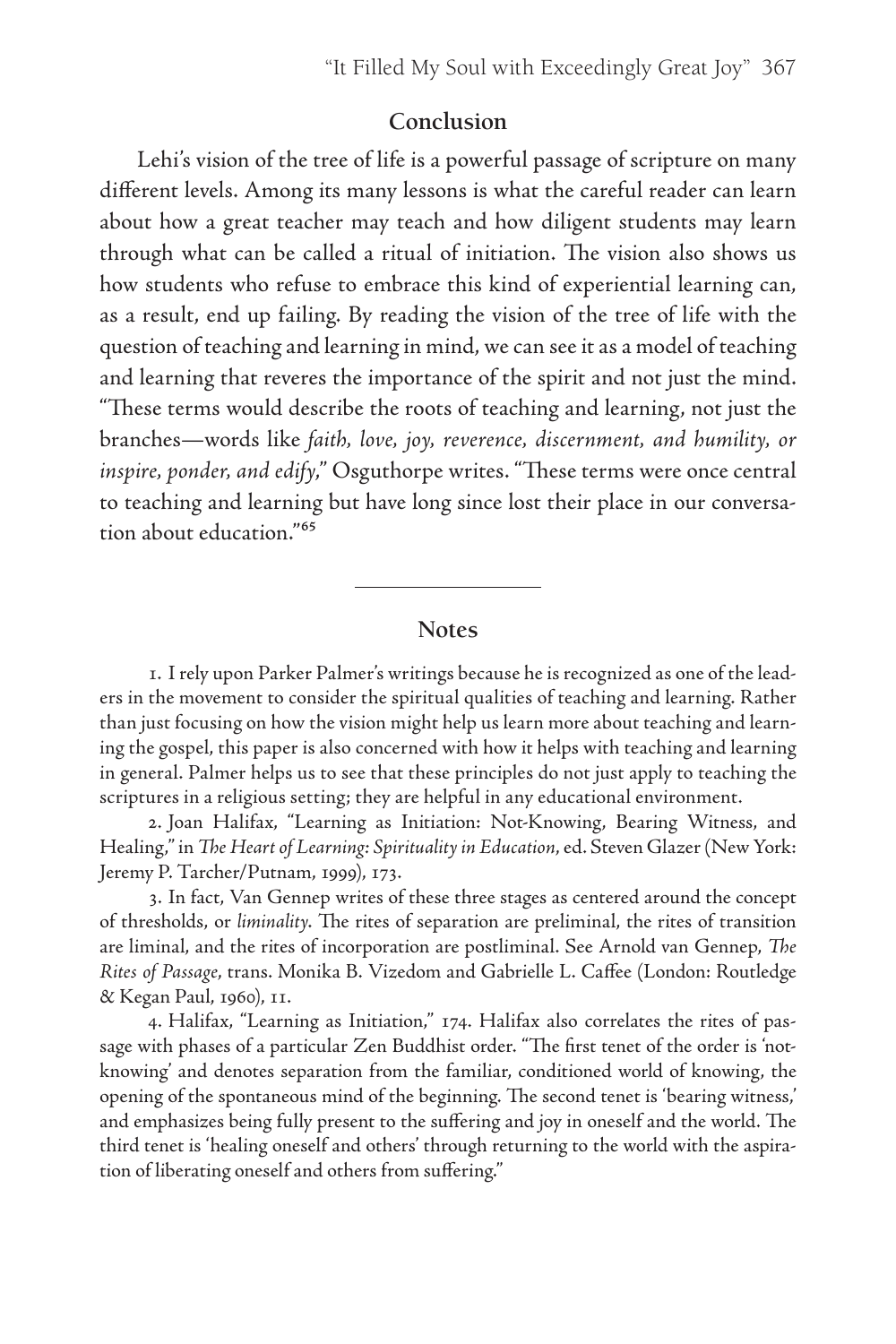#### **Conclusion**

Lehi's vision of the tree of life is a powerful passage of scripture on many different levels. Among its many lessons is what the careful reader can learn about how a great teacher may teach and how diligent students may learn through what can be called a ritual of initiation. The vision also shows us how students who refuse to embrace this kind of experiential learning can, as a result, end up failing. By reading the vision of the tree of life with the question of teaching and learning in mind, we can see it as a model of teaching and learning that reveres the importance of the spirit and not just the mind. "These terms would describe the roots of teaching and learning, not just the branches—words like *faith, love, joy, reverence, discernment, and humility, or inspire, ponder, and edify*," Osguthorpe writes. "These terms were once central to teaching and learning but have long since lost their place in our conversation about education."65

#### **Notes**

1. I rely upon Parker Palmer's writings because he is recognized as one of the leaders in the movement to consider the spiritual qualities of teaching and learning. Rather than just focusing on how the vision might help us learn more about teaching and learning the gospel, this paper is also concerned with how it helps with teaching and learning in general. Palmer helps us to see that these principles do not just apply to teaching the scriptures in a religious setting; they are helpful in any educational environment.

2. Joan Halifax, "Learning as Initiation: Not-Knowing, Bearing Witness, and Healing," in *The Heart of Learning: Spirituality in Education*, ed. Steven Glazer (New York: Jeremy P. Tarcher/Putnam, 1999), 173.

3. In fact, Van Gennep writes of these three stages as centered around the concept of thresholds, or *liminality*. The rites of separation are preliminal, the rites of transition are liminal, and the rites of incorporation are postliminal. See Arnold van Gennep, *The Rites of Passage*, trans. Monika B. Vizedom and Gabrielle L. Caffee (London: Routledge & Kegan Paul, 1960), 11.

4. Halifax, "Learning as Initiation," 174. Halifax also correlates the rites of passage with phases of a particular Zen Buddhist order. "The first tenet of the order is 'notknowing' and denotes separation from the familiar, conditioned world of knowing, the opening of the spontaneous mind of the beginning. The second tenet is 'bearing witness,' and emphasizes being fully present to the suffering and joy in oneself and the world. The third tenet is 'healing oneself and others' through returning to the world with the aspiration of liberating oneself and others from suffering."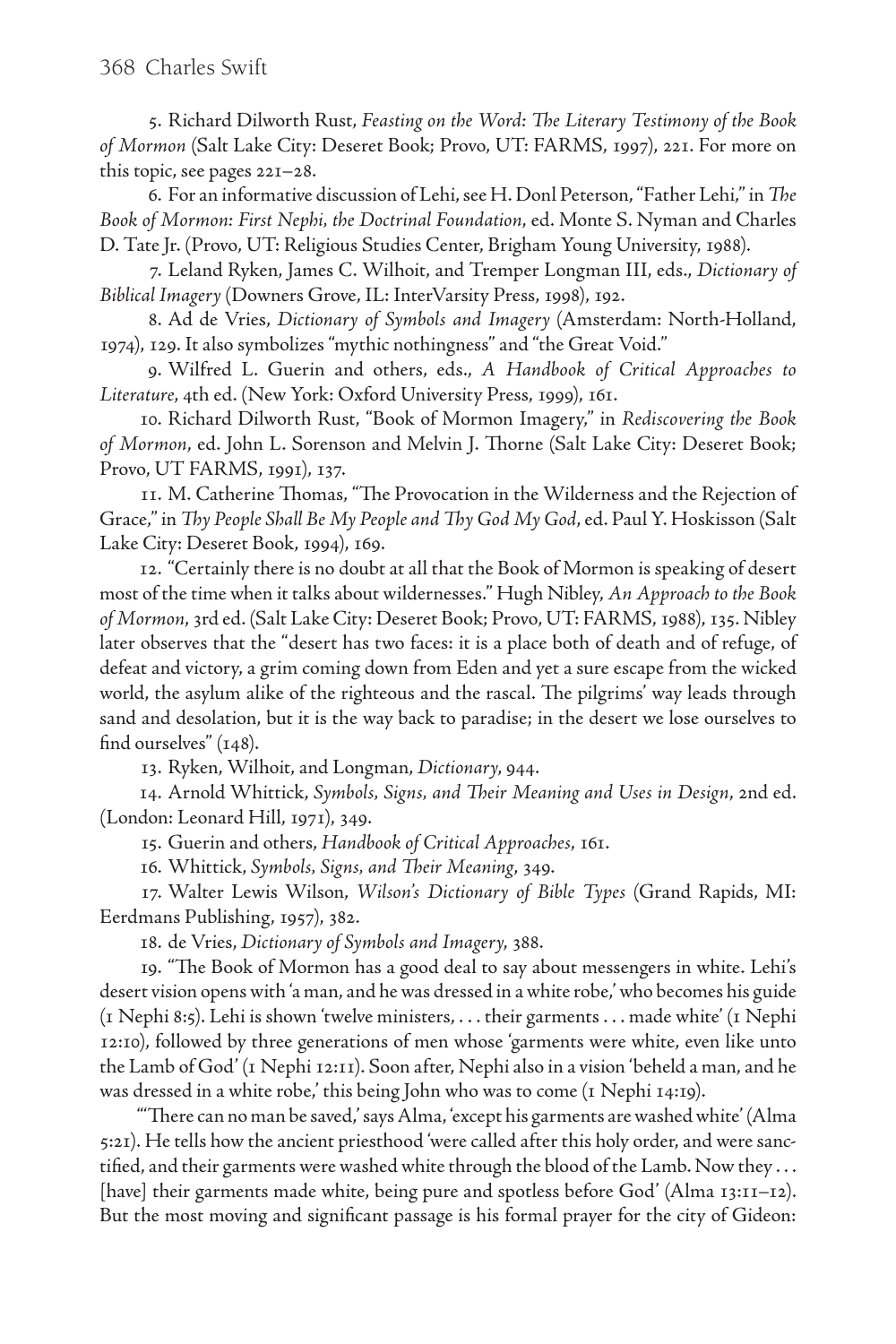5. Richard Dilworth Rust, *Feasting on the Word: The Literary Testimony of the Book of Mormon* (Salt Lake City: Deseret Book; Provo, UT: FARMS, 1997), 221. For more on this topic, see pages 221–28.

6. For an informative discussion of Lehi, see H. Donl Peterson, "Father Lehi," in *The Book of Mormon: First Nephi, the Doctrinal Foundation*, ed. Monte S. Nyman and Charles D. Tate Jr. (Provo, UT: Religious Studies Center, Brigham Young University, 1988).

7. Leland Ryken, James C. Wilhoit, and Tremper Longman III, eds., *Dictionary of Biblical Imagery* (Downers Grove, IL: InterVarsity Press, 1998), 192.

8. Ad de Vries, *Dictionary of Symbols and Imagery* (Amsterdam: North-Holland, 1974), 129. It also symbolizes "mythic nothingness" and "the Great Void."

9. Wilfred L. Guerin and others, eds., *A Handbook of Critical Approaches to Literature*, 4th ed. (New York: Oxford University Press, 1999), 161.

10. Richard Dilworth Rust, "Book of Mormon Imagery," in *Rediscovering the Book of Mormon*, ed. John L. Sorenson and Melvin J. Thorne (Salt Lake City: Deseret Book; Provo, UT FARMS, 1991), 137.

11. M. Catherine Thomas, "The Provocation in the Wilderness and the Rejection of Grace," in *Thy People Shall Be My People and Thy God My God*, ed. Paul Y. Hoskisson (Salt Lake City: Deseret Book, 1994), 169.

12. "Certainly there is no doubt at all that the Book of Mormon is speaking of desert most of the time when it talks about wildernesses." Hugh Nibley, *An Approach to the Book of Mormon*, 3rd ed. (Salt Lake City: Deseret Book; Provo, UT: FARMS, 1988), 135. Nibley later observes that the "desert has two faces: it is a place both of death and of refuge, of defeat and victory, a grim coming down from Eden and yet a sure escape from the wicked world, the asylum alike of the righteous and the rascal. The pilgrims' way leads through sand and desolation, but it is the way back to paradise; in the desert we lose ourselves to find ourselves" (148).

13. Ryken, Wilhoit, and Longman, *Dictionary*, 944.

14. Arnold Whittick, *Symbols, Signs, and Their Meaning and Uses in Design*, 2nd ed. (London: Leonard Hill, 1971), 349.

15. Guerin and others, *Handbook of Critical Approaches*, 161.

16. Whittick, *Symbols, Signs, and Their Meaning*, 349.

17. Walter Lewis Wilson, *Wilson's Dictionary of Bible Types* (Grand Rapids, MI: Eerdmans Publishing, 1957), 382.

18. de Vries, *Dictionary of Symbols and Imagery*, 388.

19. "The Book of Mormon has a good deal to say about messengers in white. Lehi's desert vision opens with 'a man, and he was dressed in a white robe,' who becomes his guide (1 Nephi 8:5). Lehi is shown 'twelve ministers, ... their garments ... made white' (1 Nephi 12:10), followed by three generations of men whose 'garments were white, even like unto the Lamb of God' (1 Nephi 12:11). Soon after, Nephi also in a vision 'beheld a man, and he was dressed in a white robe,' this being John who was to come (1 Nephi 14:19).

"'There can no man be saved,' says Alma, 'except his garments are washed white' (Alma 5:21). He tells how the ancient priesthood 'were called after this holy order, and were sanctified, and their garments were washed white through the blood of the Lamb. Now they ... [have] their garments made white, being pure and spotless before God' (Alma 13:11–12). But the most moving and significant passage is his formal prayer for the city of Gideon: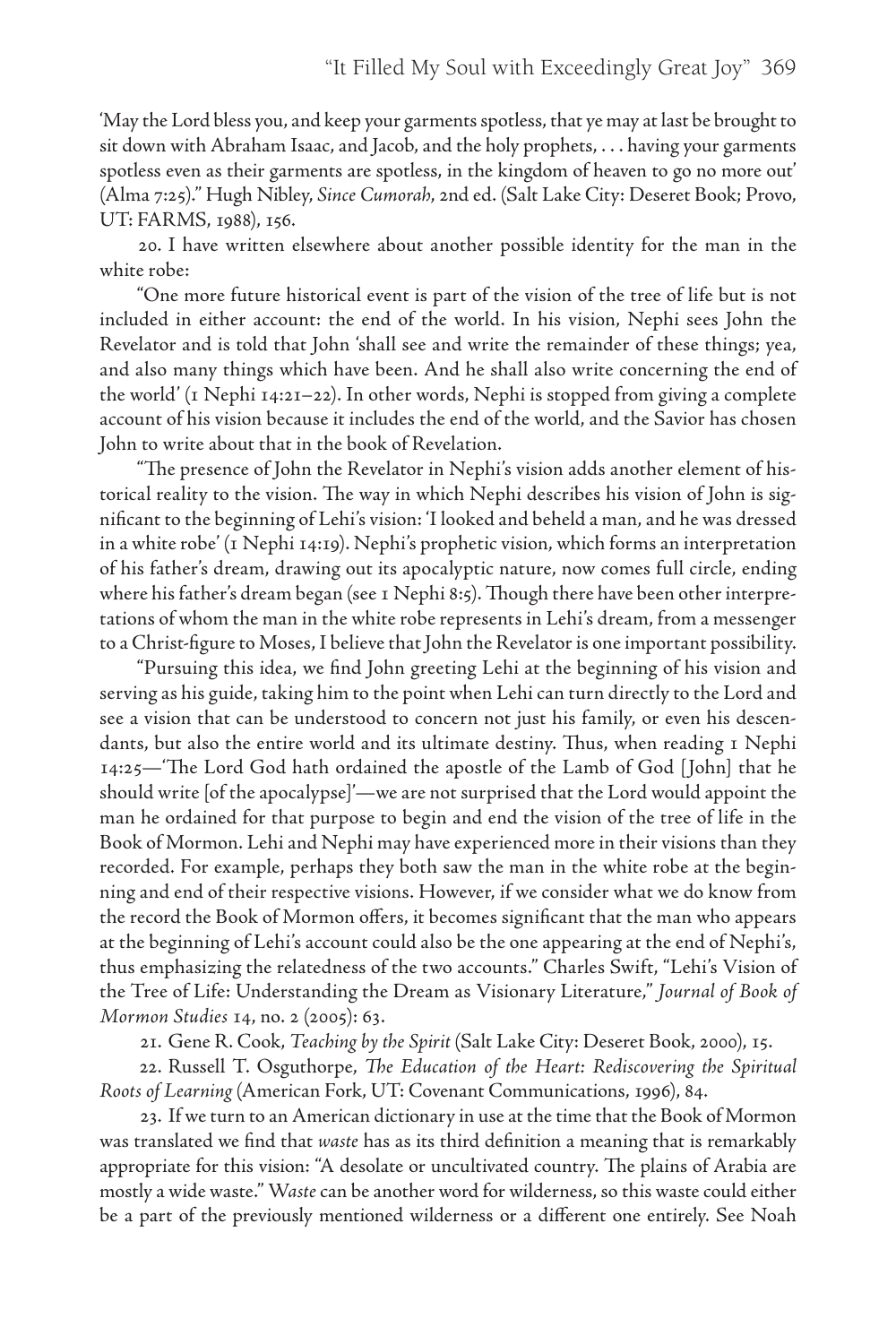'May the Lord bless you, and keep your garments spotless, that ye may at last be brought to sit down with Abraham Isaac, and Jacob, and the holy prophets, ... having your garments spotless even as their garments are spotless, in the kingdom of heaven to go no more out' (Alma 7:25)." Hugh Nibley, *Since Cumorah*, 2nd ed. (Salt Lake City: Deseret Book; Provo, UT: FARMS, 1988), 156.

20. I have written elsewhere about another possible identity for the man in the white robe:

"One more future historical event is part of the vision of the tree of life but is not included in either account: the end of the world. In his vision, Nephi sees John the Revelator and is told that John 'shall see and write the remainder of these things; yea, and also many things which have been. And he shall also write concerning the end of the world' (1 Nephi 14:21–22). In other words, Nephi is stopped from giving a complete account of his vision because it includes the end of the world, and the Savior has chosen John to write about that in the book of Revelation.

"The presence of John the Revelator in Nephi's vision adds another element of historical reality to the vision. The way in which Nephi describes his vision of John is significant to the beginning of Lehi's vision: 'I looked and beheld a man, and he was dressed in a white robe' (1 Nephi 14:19). Nephi's prophetic vision, which forms an interpretation of his father's dream, drawing out its apocalyptic nature, now comes full circle, ending where his father's dream began (see 1 Nephi 8:5). Though there have been other interpretations of whom the man in the white robe represents in Lehi's dream, from a messenger to a Christ-figure to Moses, I believe that John the Revelator is one important possibility.

"Pursuing this idea, we find John greeting Lehi at the beginning of his vision and serving as his guide, taking him to the point when Lehi can turn directly to the Lord and see a vision that can be understood to concern not just his family, or even his descendants, but also the entire world and its ultimate destiny. Thus, when reading 1 Nephi 14:25—'The Lord God hath ordained the apostle of the Lamb of God [John] that he should write [of the apocalypse]'—we are not surprised that the Lord would appoint the man he ordained for that purpose to begin and end the vision of the tree of life in the Book of Mormon. Lehi and Nephi may have experienced more in their visions than they recorded. For example, perhaps they both saw the man in the white robe at the beginning and end of their respective visions. However, if we consider what we do know from the record the Book of Mormon offers, it becomes significant that the man who appears at the beginning of Lehi's account could also be the one appearing at the end of Nephi's, thus emphasizing the relatedness of the two accounts." Charles Swift, "Lehi's Vision of the Tree of Life: Understanding the Dream as Visionary Literature," *Journal of Book of Mormon Studies* 14, no. 2 (2005): 63.

21. Gene R. Cook, *Teaching by the Spirit* (Salt Lake City: Deseret Book, 2000), 15.

22. Russell T. Osguthorpe, *The Education of the Heart: Rediscovering the Spiritual Roots of Learning* (American Fork, UT: Covenant Communications, 1996), 84.

23. If we turn to an American dictionary in use at the time that the Book of Mormon was translated we find that *waste* has as its third definition a meaning that is remarkably appropriate for this vision: "A desolate or uncultivated country. The plains of Arabia are mostly a wide waste." W*aste* can be another word for wilderness, so this waste could either be a part of the previously mentioned wilderness or a different one entirely. See Noah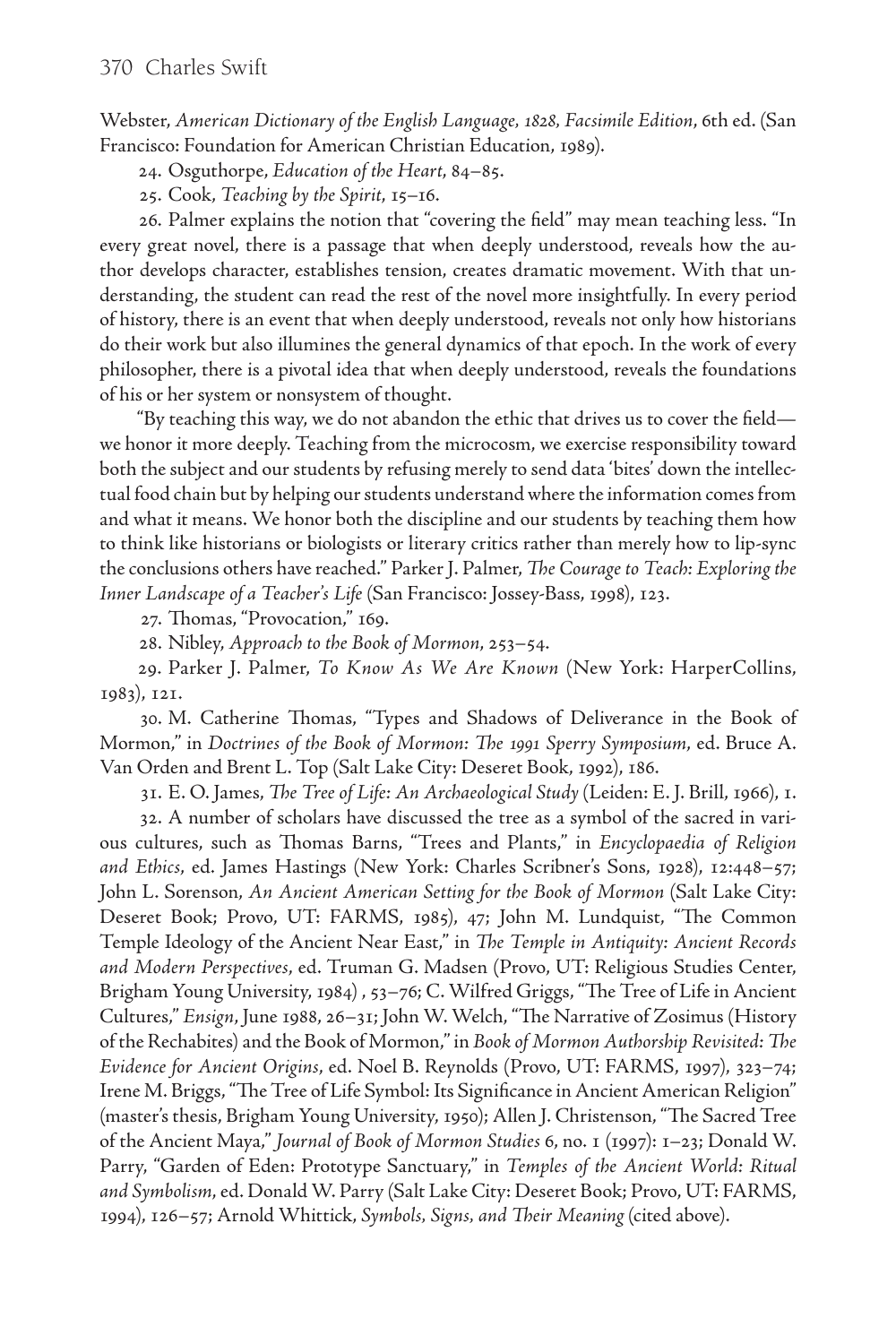Webster, *American Dictionary of the English Language, 1828, Facsimile Edition*, 6th ed. (San Francisco: Foundation for American Christian Education, 1989).

24. Osguthorpe, *Education of the Heart*, 84–85.

25. Cook, *Teaching by the Spirit*, 15–16.

26. Palmer explains the notion that "covering the field" may mean teaching less. "In every great novel, there is a passage that when deeply understood, reveals how the author develops character, establishes tension, creates dramatic movement. With that understanding, the student can read the rest of the novel more insightfully. In every period of history, there is an event that when deeply understood, reveals not only how historians do their work but also illumines the general dynamics of that epoch. In the work of every philosopher, there is a pivotal idea that when deeply understood, reveals the foundations of his or her system or nonsystem of thought.

"By teaching this way, we do not abandon the ethic that drives us to cover the field we honor it more deeply. Teaching from the microcosm, we exercise responsibility toward both the subject and our students by refusing merely to send data 'bites' down the intellectual food chain but by helping our students understand where the information comes from and what it means. We honor both the discipline and our students by teaching them how to think like historians or biologists or literary critics rather than merely how to lip-sync the conclusions others have reached." Parker J. Palmer, *The Courage to Teach: Exploring the Inner Landscape of a Teacher's Life* (San Francisco: Jossey-Bass, 1998), 123.

27. Thomas, "Provocation," 169.

28. Nibley, *Approach to the Book of Mormon*, 253–54.

29. Parker J. Palmer, *To Know As We Are Known* (New York: HarperCollins, 1983), 121.

30. M. Catherine Thomas, "Types and Shadows of Deliverance in the Book of Mormon," in *Doctrines of the Book of Mormon: The 1991 Sperry Symposium*, ed. Bruce A. Van Orden and Brent L. Top (Salt Lake City: Deseret Book, 1992), 186.

31. E. O. James, *The Tree of Life: An Archaeological Study* (Leiden: E. J. Brill, 1966), 1.

32. A number of scholars have discussed the tree as a symbol of the sacred in various cultures, such as Thomas Barns, "Trees and Plants," in *Encyclopaedia of Religion and Ethics*, ed. James Hastings (New York: Charles Scribner's Sons, 1928), 12:448–57; John L. Sorenson, *An Ancient American Setting for the Book of Mormon* (Salt Lake City: Deseret Book; Provo, UT: FARMS, 1985), 47; John M. Lundquist, "The Common Temple Ideology of the Ancient Near East," in *The Temple in Antiquity: Ancient Records and Modern Perspectives*, ed. Truman G. Madsen (Provo, UT: Religious Studies Center, Brigham Young University, 1984) , 53–76; C. Wilfred Griggs, "The Tree of Life in Ancient Cultures," *Ensign*, June 1988, 26–31; John W. Welch, "The Narrative of Zosimus (History of the Rechabites) and the Book of Mormon," in *Book of Mormon Authorship Revisited: The Evidence for Ancient Origins*, ed. Noel B. Reynolds (Provo, UT: FARMS, 1997), 323–74; Irene M. Briggs, "The Tree of Life Symbol: Its Significance in Ancient American Religion" (master's thesis, Brigham Young University, 1950); Allen J. Christenson, "The Sacred Tree of the Ancient Maya," *Journal of Book of Mormon Studies* 6, no. 1 (1997): 1–23; Donald W. Parry, "Garden of Eden: Prototype Sanctuary," in *Temples of the Ancient World: Ritual and Symbolism*, ed. Donald W. Parry (Salt Lake City: Deseret Book; Provo, UT: FARMS, 1994), 126–57; Arnold Whittick, *Symbols, Signs, and Their Meaning* (cited above).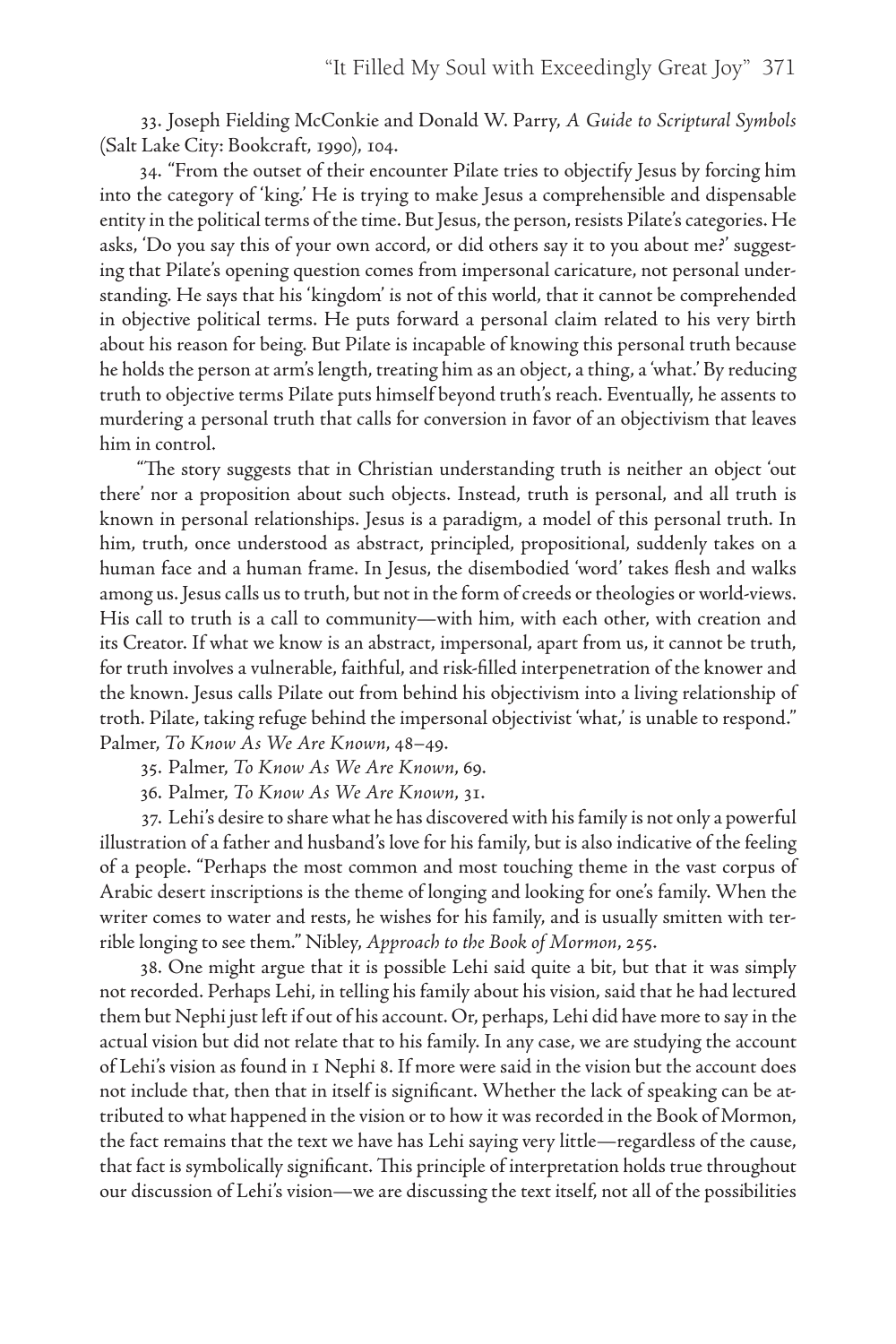33. Joseph Fielding McConkie and Donald W. Parry, *A Guide to Scriptural Symbols* (Salt Lake City: Bookcraft, 1990), 104.

34. "From the outset of their encounter Pilate tries to objectify Jesus by forcing him into the category of 'king.' He is trying to make Jesus a comprehensible and dispensable entity in the political terms of the time. But Jesus, the person, resists Pilate's categories. He asks, 'Do you say this of your own accord, or did others say it to you about me?' suggesting that Pilate's opening question comes from impersonal caricature, not personal understanding. He says that his 'kingdom' is not of this world, that it cannot be comprehended in objective political terms. He puts forward a personal claim related to his very birth about his reason for being. But Pilate is incapable of knowing this personal truth because he holds the person at arm's length, treating him as an object, a thing, a 'what.' By reducing truth to objective terms Pilate puts himself beyond truth's reach. Eventually, he assents to murdering a personal truth that calls for conversion in favor of an objectivism that leaves him in control.

"The story suggests that in Christian understanding truth is neither an object 'out there' nor a proposition about such objects. Instead, truth is personal, and all truth is known in personal relationships. Jesus is a paradigm, a model of this personal truth. In him, truth, once understood as abstract, principled, propositional, suddenly takes on a human face and a human frame. In Jesus, the disembodied 'word' takes flesh and walks among us. Jesus calls us to truth, but not in the form of creeds or theologies or world-views. His call to truth is a call to community—with him, with each other, with creation and its Creator. If what we know is an abstract, impersonal, apart from us, it cannot be truth, for truth involves a vulnerable, faithful, and risk-filled interpenetration of the knower and the known. Jesus calls Pilate out from behind his objectivism into a living relationship of troth. Pilate, taking refuge behind the impersonal objectivist 'what,' is unable to respond." Palmer, *To Know As We Are Known*, 48–49.

35. Palmer, *To Know As We Are Known*, 69.

36. Palmer, *To Know As We Are Known*, 31.

37. Lehi's desire to share what he has discovered with his family is not only a powerful illustration of a father and husband's love for his family, but is also indicative of the feeling of a people. "Perhaps the most common and most touching theme in the vast corpus of Arabic desert inscriptions is the theme of longing and looking for one's family. When the writer comes to water and rests, he wishes for his family, and is usually smitten with terrible longing to see them." Nibley, *Approach to the Book of Mormon*, 255.

38. One might argue that it is possible Lehi said quite a bit, but that it was simply not recorded. Perhaps Lehi, in telling his family about his vision, said that he had lectured them but Nephi just left if out of his account. Or, perhaps, Lehi did have more to say in the actual vision but did not relate that to his family. In any case, we are studying the account of Lehi's vision as found in 1 Nephi 8. If more were said in the vision but the account does not include that, then that in itself is significant. Whether the lack of speaking can be attributed to what happened in the vision or to how it was recorded in the Book of Mormon, the fact remains that the text we have has Lehi saying very little—regardless of the cause, that fact is symbolically significant. This principle of interpretation holds true throughout our discussion of Lehi's vision—we are discussing the text itself, not all of the possibilities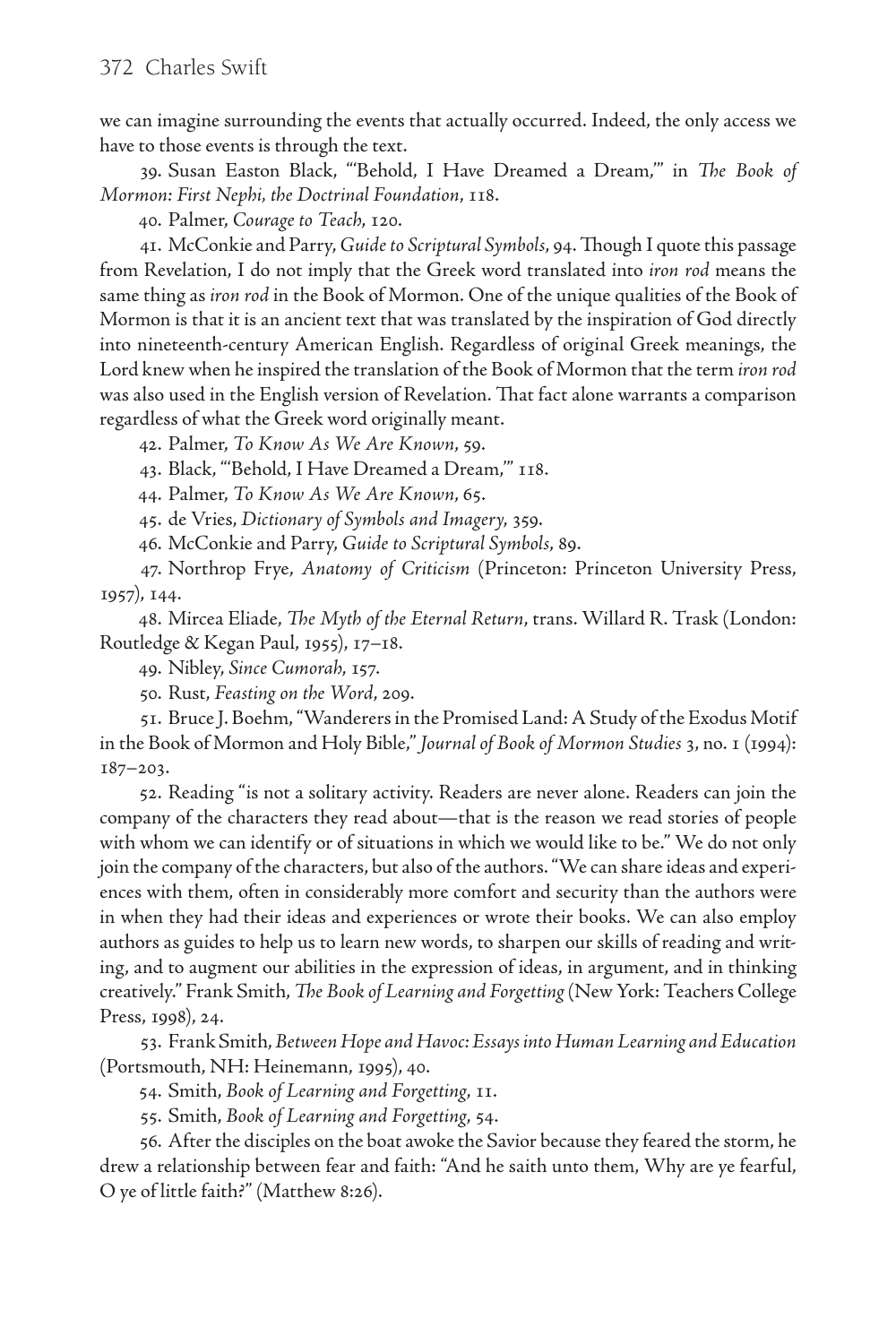we can imagine surrounding the events that actually occurred. Indeed, the only access we have to those events is through the text.

39. Susan Easton Black, "'Behold, I Have Dreamed a Dream,'" in *The Book of Mormon: First Nephi, the Doctrinal Foundation*, 118.

40. Palmer, *Courage to Teach*, 120.

41. McConkie and Parry, *Guide to Scriptural Symbols*, 94. Though I quote this passage from Revelation, I do not imply that the Greek word translated into *iron rod* means the same thing as *iron rod* in the Book of Mormon. One of the unique qualities of the Book of Mormon is that it is an ancient text that was translated by the inspiration of God directly into nineteenth-century American English. Regardless of original Greek meanings, the Lord knew when he inspired the translation of the Book of Mormon that the term *iron rod* was also used in the English version of Revelation. That fact alone warrants a comparison regardless of what the Greek word originally meant.

42. Palmer, *To Know As We Are Known*, 59.

43. Black, "'Behold, I Have Dreamed a Dream,'" 118.

44. Palmer, *To Know As We Are Known*, 65.

45. de Vries, *Dictionary of Symbols and Imagery*, 359.

46. McConkie and Parry, *Guide to Scriptural Symbols*, 89.

47. Northrop Frye, *Anatomy of Criticism* (Princeton: Princeton University Press, 1957), 144.

48. Mircea Eliade, *The Myth of the Eternal Return*, trans. Willard R. Trask (London: Routledge & Kegan Paul, 1955), 17–18.

49. Nibley, *Since Cumorah*, 157.

50. Rust, *Feasting on the Word*, 209.

51. Bruce J. Boehm, "Wanderers in the Promised Land: A Study of the Exodus Motif in the Book of Mormon and Holy Bible," *Journal of Book of Mormon Studies* 3, no. 1 (1994): 187–203.

52. Reading "is not a solitary activity. Readers are never alone. Readers can join the company of the characters they read about—that is the reason we read stories of people with whom we can identify or of situations in which we would like to be." We do not only join the company of the characters, but also of the authors. "We can share ideas and experiences with them, often in considerably more comfort and security than the authors were in when they had their ideas and experiences or wrote their books. We can also employ authors as guides to help us to learn new words, to sharpen our skills of reading and writing, and to augment our abilities in the expression of ideas, in argument, and in thinking creatively." Frank Smith, *The Book of Learning and Forgetting* (New York: Teachers College Press, 1998), 24.

53. Frank Smith, *Between Hope and Havoc: Essays into Human Learning and Education* (Portsmouth, NH: Heinemann, 1995), 40.

54. Smith, *Book of Learning and Forgetting*, 11.

55. Smith, *Book of Learning and Forgetting*, 54.

56. After the disciples on the boat awoke the Savior because they feared the storm, he drew a relationship between fear and faith: "And he saith unto them, Why are ye fearful, O ye of little faith?" (Matthew 8:26).